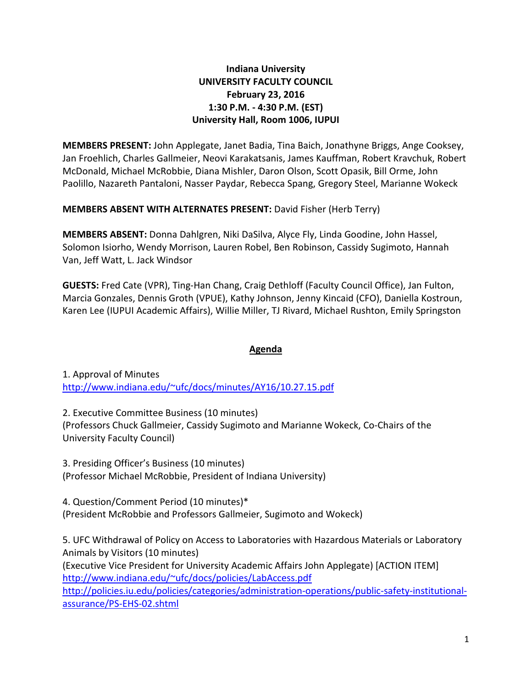# **Indiana University UNIVERSITY FACULTY COUNCIL February 23, 2016 1:30 P.M. - 4:30 P.M. (EST) University Hall, Room 1006, IUPUI**

**MEMBERS PRESENT:** John Applegate, Janet Badia, Tina Baich, Jonathyne Briggs, Ange Cooksey, Jan Froehlich, Charles Gallmeier, Neovi Karakatsanis, James Kauffman, Robert Kravchuk, Robert McDonald, Michael McRobbie, Diana Mishler, Daron Olson, Scott Opasik, Bill Orme, John Paolillo, Nazareth Pantaloni, Nasser Paydar, Rebecca Spang, Gregory Steel, Marianne Wokeck

**MEMBERS ABSENT WITH ALTERNATES PRESENT:** David Fisher (Herb Terry)

**MEMBERS ABSENT:** Donna Dahlgren, Niki DaSilva, Alyce Fly, Linda Goodine, John Hassel, Solomon Isiorho, Wendy Morrison, Lauren Robel, Ben Robinson, Cassidy Sugimoto, Hannah Van, Jeff Watt, L. Jack Windsor

**GUESTS:** Fred Cate (VPR), Ting-Han Chang, Craig Dethloff (Faculty Council Office), Jan Fulton, Marcia Gonzales, Dennis Groth (VPUE), Kathy Johnson, Jenny Kincaid (CFO), Daniella Kostroun, Karen Lee (IUPUI Academic Affairs), Willie Miller, TJ Rivard, Michael Rushton, Emily Springston

# **Agenda**

1. Approval of Minutes [http://www.indiana.edu/~ufc/docs/minutes/AY16/10.27.15.pdf](http://www.indiana.edu/%7Eufc/docs/minutes/AY16/10.27.15.pdf) 

2. Executive Committee Business (10 minutes) (Professors Chuck Gallmeier, Cassidy Sugimoto and Marianne Wokeck, Co-Chairs of the University Faculty Council)

3. Presiding Officer's Business (10 minutes) (Professor Michael McRobbie, President of Indiana University)

4. Question/Comment Period (10 minutes)\* (President McRobbie and Professors Gallmeier, Sugimoto and Wokeck)

5. UFC Withdrawal of Policy on Access to Laboratories with Hazardous Materials or Laboratory Animals by Visitors (10 minutes)

(Executive Vice President for University Academic Affairs John Applegate) [ACTION ITEM] [http://www.indiana.edu/~ufc/docs/policies/LabAccess.pdf](http://www.indiana.edu/%7Eufc/docs/policies/LabAccess.pdf)

[http://policies.iu.edu/policies/categories/administration-operations/public-safety-institutional](http://policies.iu.edu/policies/categories/administration-operations/public-safety-institutional-assurance/PS-EHS-02.shtml)[assurance/PS-EHS-02.shtml](http://policies.iu.edu/policies/categories/administration-operations/public-safety-institutional-assurance/PS-EHS-02.shtml)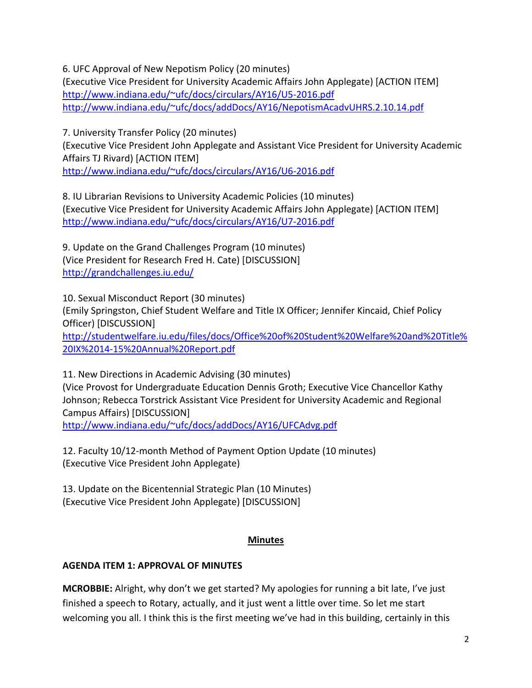6. UFC Approval of New Nepotism Policy (20 minutes)

(Executive Vice President for University Academic Affairs John Applegate) [ACTION ITEM] [http://www.indiana.edu/~ufc/docs/circulars/AY16/U5-2016.pdf](http://www.indiana.edu/%7Eufc/docs/circulars/AY16/U5-2016.pdf)  [http://www.indiana.edu/~ufc/docs/addDocs/AY16/NepotismAcadvUHRS.2.10.14.pdf](http://www.indiana.edu/%7Eufc/docs/addDocs/AY16/NepotismAcadvUHRS.2.10.14.pdf) 

7. University Transfer Policy (20 minutes)

(Executive Vice President John Applegate and Assistant Vice President for University Academic Affairs TJ Rivard) [ACTION ITEM]

[http://www.indiana.edu/~ufc/docs/circulars/AY16/U6-2016.pdf](http://www.indiana.edu/%7Eufc/docs/circulars/AY16/U6-2016.pdf) 

8. IU Librarian Revisions to University Academic Policies (10 minutes) (Executive Vice President for University Academic Affairs John Applegate) [ACTION ITEM] [http://www.indiana.edu/~ufc/docs/circulars/AY16/U7-2016.pdf](http://www.indiana.edu/%7Eufc/docs/circulars/AY16/U7-2016.pdf) 

9. Update on the Grand Challenges Program (10 minutes) (Vice President for Research Fred H. Cate) [DISCUSSION] <http://grandchallenges.iu.edu/>

10. Sexual Misconduct Report (30 minutes) (Emily Springston, Chief Student Welfare and Title IX Officer; Jennifer Kincaid, Chief Policy Officer) [DISCUSSION] [http://studentwelfare.iu.edu/files/docs/Office%20of%20Student%20Welfare%20and%20Title%](http://studentwelfare.iu.edu/files/docs/Office%20of%20Student%20Welfare%20and%20Title%20IX%2014-15%20Annual%20Report.pdf) [20IX%2014-15%20Annual%20Report.pdf](http://studentwelfare.iu.edu/files/docs/Office%20of%20Student%20Welfare%20and%20Title%20IX%2014-15%20Annual%20Report.pdf) 

11. New Directions in Academic Advising (30 minutes) (Vice Provost for Undergraduate Education Dennis Groth; Executive Vice Chancellor Kathy Johnson; Rebecca Torstrick Assistant Vice President for University Academic and Regional Campus Affairs) [DISCUSSION] [http://www.indiana.edu/~ufc/docs/addDocs/AY16/UFCAdvg.pdf](http://www.indiana.edu/%7Eufc/docs/addDocs/AY16/UFCAdvg.pdf) 

12. Faculty 10/12-month Method of Payment Option Update (10 minutes) (Executive Vice President John Applegate)

13. Update on the Bicentennial Strategic Plan (10 Minutes) (Executive Vice President John Applegate) [DISCUSSION]

# **Minutes**

# **AGENDA ITEM 1: APPROVAL OF MINUTES**

**MCROBBIE:** Alright, why don't we get started? My apologies for running a bit late, I've just finished a speech to Rotary, actually, and it just went a little over time. So let me start welcoming you all. I think this is the first meeting we've had in this building, certainly in this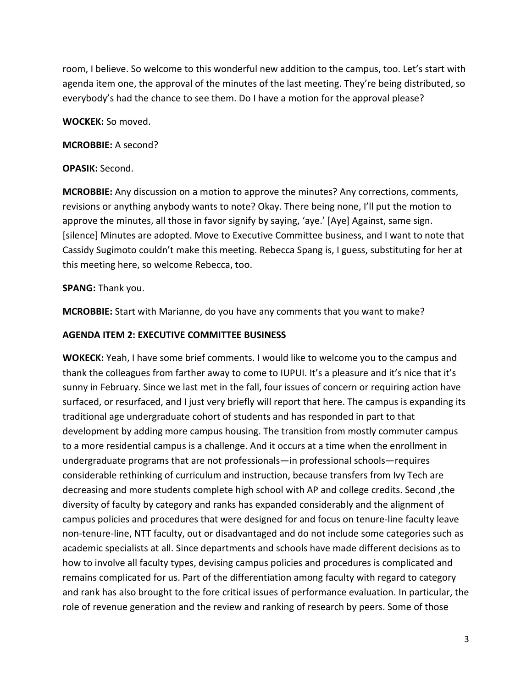room, I believe. So welcome to this wonderful new addition to the campus, too. Let's start with agenda item one, the approval of the minutes of the last meeting. They're being distributed, so everybody's had the chance to see them. Do I have a motion for the approval please?

### **WOCKEK:** So moved.

#### **MCROBBIE:** A second?

#### **OPASIK:** Second.

**MCROBBIE:** Any discussion on a motion to approve the minutes? Any corrections, comments, revisions or anything anybody wants to note? Okay. There being none, I'll put the motion to approve the minutes, all those in favor signify by saying, 'aye.' [Aye] Against, same sign. [silence] Minutes are adopted. Move to Executive Committee business, and I want to note that Cassidy Sugimoto couldn't make this meeting. Rebecca Spang is, I guess, substituting for her at this meeting here, so welcome Rebecca, too.

#### **SPANG:** Thank you.

**MCROBBIE:** Start with Marianne, do you have any comments that you want to make?

### **AGENDA ITEM 2: EXECUTIVE COMMITTEE BUSINESS**

**WOKECK:** Yeah, I have some brief comments. I would like to welcome you to the campus and thank the colleagues from farther away to come to IUPUI. It's a pleasure and it's nice that it's sunny in February. Since we last met in the fall, four issues of concern or requiring action have surfaced, or resurfaced, and I just very briefly will report that here. The campus is expanding its traditional age undergraduate cohort of students and has responded in part to that development by adding more campus housing. The transition from mostly commuter campus to a more residential campus is a challenge. And it occurs at a time when the enrollment in undergraduate programs that are not professionals—in professional schools—requires considerable rethinking of curriculum and instruction, because transfers from Ivy Tech are decreasing and more students complete high school with AP and college credits. Second ,the diversity of faculty by category and ranks has expanded considerably and the alignment of campus policies and procedures that were designed for and focus on tenure-line faculty leave non-tenure-line, NTT faculty, out or disadvantaged and do not include some categories such as academic specialists at all. Since departments and schools have made different decisions as to how to involve all faculty types, devising campus policies and procedures is complicated and remains complicated for us. Part of the differentiation among faculty with regard to category and rank has also brought to the fore critical issues of performance evaluation. In particular, the role of revenue generation and the review and ranking of research by peers. Some of those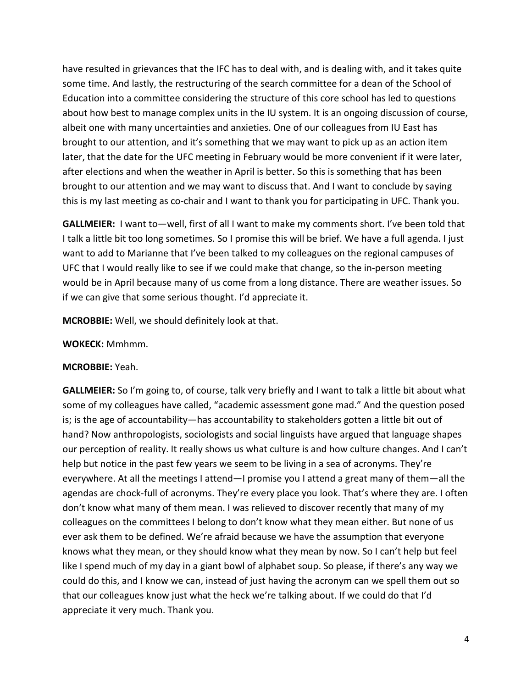have resulted in grievances that the IFC has to deal with, and is dealing with, and it takes quite some time. And lastly, the restructuring of the search committee for a dean of the School of Education into a committee considering the structure of this core school has led to questions about how best to manage complex units in the IU system. It is an ongoing discussion of course, albeit one with many uncertainties and anxieties. One of our colleagues from IU East has brought to our attention, and it's something that we may want to pick up as an action item later, that the date for the UFC meeting in February would be more convenient if it were later, after elections and when the weather in April is better. So this is something that has been brought to our attention and we may want to discuss that. And I want to conclude by saying this is my last meeting as co-chair and I want to thank you for participating in UFC. Thank you.

**GALLMEIER:** I want to—well, first of all I want to make my comments short. I've been told that I talk a little bit too long sometimes. So I promise this will be brief. We have a full agenda. I just want to add to Marianne that I've been talked to my colleagues on the regional campuses of UFC that I would really like to see if we could make that change, so the in-person meeting would be in April because many of us come from a long distance. There are weather issues. So if we can give that some serious thought. I'd appreciate it.

**MCROBBIE:** Well, we should definitely look at that.

### **WOKECK:** Mmhmm.

### **MCROBBIE:** Yeah.

**GALLMEIER:** So I'm going to, of course, talk very briefly and I want to talk a little bit about what some of my colleagues have called, "academic assessment gone mad." And the question posed is; is the age of accountability—has accountability to stakeholders gotten a little bit out of hand? Now anthropologists, sociologists and social linguists have argued that language shapes our perception of reality. It really shows us what culture is and how culture changes. And I can't help but notice in the past few years we seem to be living in a sea of acronyms. They're everywhere. At all the meetings I attend—I promise you I attend a great many of them—all the agendas are chock-full of acronyms. They're every place you look. That's where they are. I often don't know what many of them mean. I was relieved to discover recently that many of my colleagues on the committees I belong to don't know what they mean either. But none of us ever ask them to be defined. We're afraid because we have the assumption that everyone knows what they mean, or they should know what they mean by now. So I can't help but feel like I spend much of my day in a giant bowl of alphabet soup. So please, if there's any way we could do this, and I know we can, instead of just having the acronym can we spell them out so that our colleagues know just what the heck we're talking about. If we could do that I'd appreciate it very much. Thank you.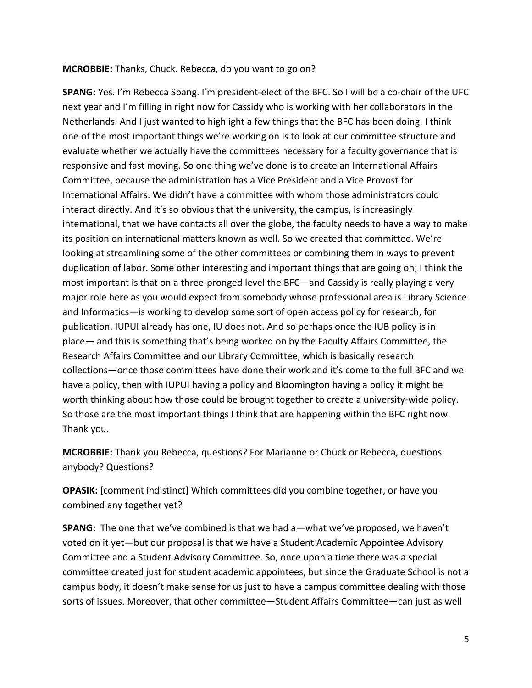#### **MCROBBIE:** Thanks, Chuck. Rebecca, do you want to go on?

**SPANG:** Yes. I'm Rebecca Spang. I'm president-elect of the BFC. So I will be a co-chair of the UFC next year and I'm filling in right now for Cassidy who is working with her collaborators in the Netherlands. And I just wanted to highlight a few things that the BFC has been doing. I think one of the most important things we're working on is to look at our committee structure and evaluate whether we actually have the committees necessary for a faculty governance that is responsive and fast moving. So one thing we've done is to create an International Affairs Committee, because the administration has a Vice President and a Vice Provost for International Affairs. We didn't have a committee with whom those administrators could interact directly. And it's so obvious that the university, the campus, is increasingly international, that we have contacts all over the globe, the faculty needs to have a way to make its position on international matters known as well. So we created that committee. We're looking at streamlining some of the other committees or combining them in ways to prevent duplication of labor. Some other interesting and important things that are going on; I think the most important is that on a three-pronged level the BFC—and Cassidy is really playing a very major role here as you would expect from somebody whose professional area is Library Science and Informatics—is working to develop some sort of open access policy for research, for publication. IUPUI already has one, IU does not. And so perhaps once the IUB policy is in place— and this is something that's being worked on by the Faculty Affairs Committee, the Research Affairs Committee and our Library Committee, which is basically research collections—once those committees have done their work and it's come to the full BFC and we have a policy, then with IUPUI having a policy and Bloomington having a policy it might be worth thinking about how those could be brought together to create a university-wide policy. So those are the most important things I think that are happening within the BFC right now. Thank you.

**MCROBBIE:** Thank you Rebecca, questions? For Marianne or Chuck or Rebecca, questions anybody? Questions?

**OPASIK:** [comment indistinct] Which committees did you combine together, or have you combined any together yet?

**SPANG:** The one that we've combined is that we had a—what we've proposed, we haven't voted on it yet—but our proposal is that we have a Student Academic Appointee Advisory Committee and a Student Advisory Committee. So, once upon a time there was a special committee created just for student academic appointees, but since the Graduate School is not a campus body, it doesn't make sense for us just to have a campus committee dealing with those sorts of issues. Moreover, that other committee—Student Affairs Committee—can just as well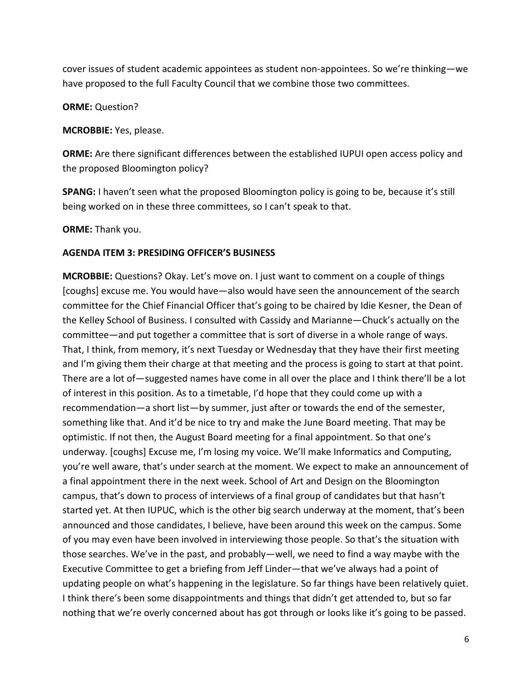cover issues of student academic appointees as student non-appointees. So we're thinking—we have proposed to the full Faculty Council that we combine those two committees.

**ORME:** Question?

**MCROBBIE:** Yes, please.

**ORME:** Are there significant differences between the established IUPUI open access policy and the proposed Bloomington policy?

**SPANG:** I haven't seen what the proposed Bloomington policy is going to be, because it's still being worked on in these three committees, so I can't speak to that.

**ORME:** Thank you.

### **AGENDA ITEM 3: PRESIDING OFFICER'S BUSINESS**

**MCROBBIE:** Questions? Okay. Let's move on. I just want to comment on a couple of things [coughs] excuse me. You would have—also would have seen the announcement of the search committee for the Chief Financial Officer that's going to be chaired by Idie Kesner, the Dean of the Kelley School of Business. I consulted with Cassidy and Marianne—Chuck's actually on the committee—and put together a committee that is sort of diverse in a whole range of ways. That, I think, from memory, it's next Tuesday or Wednesday that they have their first meeting and I'm giving them their charge at that meeting and the process is going to start at that point. There are a lot of—suggested names have come in all over the place and I think there'll be a lot of interest in this position. As to a timetable, I'd hope that they could come up with a recommendation—a short list—by summer, just after or towards the end of the semester, something like that. And it'd be nice to try and make the June Board meeting. That may be optimistic. If not then, the August Board meeting for a final appointment. So that one's underway. [coughs] Excuse me, I'm losing my voice. We'll make Informatics and Computing, you're well aware, that's under search at the moment. We expect to make an announcement of a final appointment there in the next week. School of Art and Design on the Bloomington campus, that's down to process of interviews of a final group of candidates but that hasn't started yet. At then IUPUC, which is the other big search underway at the moment, that's been announced and those candidates, I believe, have been around this week on the campus. Some of you may even have been involved in interviewing those people. So that's the situation with those searches. We've in the past, and probably—well, we need to find a way maybe with the Executive Committee to get a briefing from Jeff Linder—that we've always had a point of updating people on what's happening in the legislature. So far things have been relatively quiet. I think there's been some disappointments and things that didn't get attended to, but so far nothing that we're overly concerned about has got through or looks like it's going to be passed.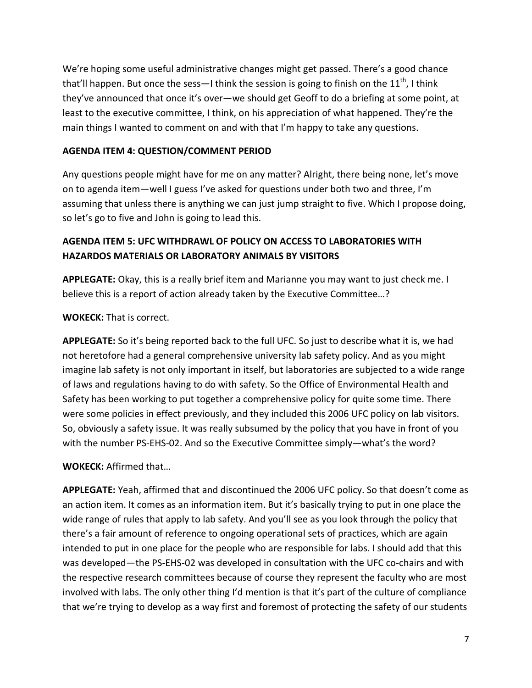We're hoping some useful administrative changes might get passed. There's a good chance that'll happen. But once the sess—I think the session is going to finish on the  $11<sup>th</sup>$ , I think they've announced that once it's over—we should get Geoff to do a briefing at some point, at least to the executive committee, I think, on his appreciation of what happened. They're the main things I wanted to comment on and with that I'm happy to take any questions.

# **AGENDA ITEM 4: QUESTION/COMMENT PERIOD**

Any questions people might have for me on any matter? Alright, there being none, let's move on to agenda item—well I guess I've asked for questions under both two and three, I'm assuming that unless there is anything we can just jump straight to five. Which I propose doing, so let's go to five and John is going to lead this.

# **AGENDA ITEM 5: UFC WITHDRAWL OF POLICY ON ACCESS TO LABORATORIES WITH HAZARDOS MATERIALS OR LABORATORY ANIMALS BY VISITORS**

**APPLEGATE:** Okay, this is a really brief item and Marianne you may want to just check me. I believe this is a report of action already taken by the Executive Committee…?

**WOKECK:** That is correct.

**APPLEGATE:** So it's being reported back to the full UFC. So just to describe what it is, we had not heretofore had a general comprehensive university lab safety policy. And as you might imagine lab safety is not only important in itself, but laboratories are subjected to a wide range of laws and regulations having to do with safety. So the Office of Environmental Health and Safety has been working to put together a comprehensive policy for quite some time. There were some policies in effect previously, and they included this 2006 UFC policy on lab visitors. So, obviously a safety issue. It was really subsumed by the policy that you have in front of you with the number PS-EHS-02. And so the Executive Committee simply—what's the word?

**WOKECK:** Affirmed that…

**APPLEGATE:** Yeah, affirmed that and discontinued the 2006 UFC policy. So that doesn't come as an action item. It comes as an information item. But it's basically trying to put in one place the wide range of rules that apply to lab safety. And you'll see as you look through the policy that there's a fair amount of reference to ongoing operational sets of practices, which are again intended to put in one place for the people who are responsible for labs. I should add that this was developed—the PS-EHS-02 was developed in consultation with the UFC co-chairs and with the respective research committees because of course they represent the faculty who are most involved with labs. The only other thing I'd mention is that it's part of the culture of compliance that we're trying to develop as a way first and foremost of protecting the safety of our students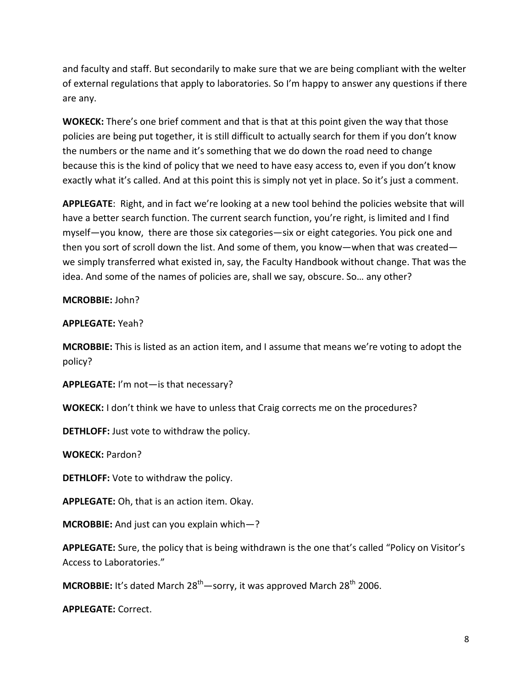and faculty and staff. But secondarily to make sure that we are being compliant with the welter of external regulations that apply to laboratories. So I'm happy to answer any questions if there are any.

**WOKECK:** There's one brief comment and that is that at this point given the way that those policies are being put together, it is still difficult to actually search for them if you don't know the numbers or the name and it's something that we do down the road need to change because this is the kind of policy that we need to have easy access to, even if you don't know exactly what it's called. And at this point this is simply not yet in place. So it's just a comment.

**APPLEGATE**: Right, and in fact we're looking at a new tool behind the policies website that will have a better search function. The current search function, you're right, is limited and I find myself—you know, there are those six categories—six or eight categories. You pick one and then you sort of scroll down the list. And some of them, you know—when that was created we simply transferred what existed in, say, the Faculty Handbook without change. That was the idea. And some of the names of policies are, shall we say, obscure. So… any other?

### **MCROBBIE:** John?

### **APPLEGATE:** Yeah?

**MCROBBIE:** This is listed as an action item, and I assume that means we're voting to adopt the policy?

**APPLEGATE:** I'm not—is that necessary?

**WOKECK:** I don't think we have to unless that Craig corrects me on the procedures?

**DETHLOFF:** Just vote to withdraw the policy.

**WOKECK:** Pardon?

**DETHLOFF:** Vote to withdraw the policy.

**APPLEGATE:** Oh, that is an action item. Okay.

**MCROBBIE:** And just can you explain which—?

**APPLEGATE:** Sure, the policy that is being withdrawn is the one that's called "Policy on Visitor's Access to Laboratories."

**MCROBBIE:** It's dated March 28<sup>th</sup>—sorry, it was approved March 28<sup>th</sup> 2006.

**APPLEGATE:** Correct.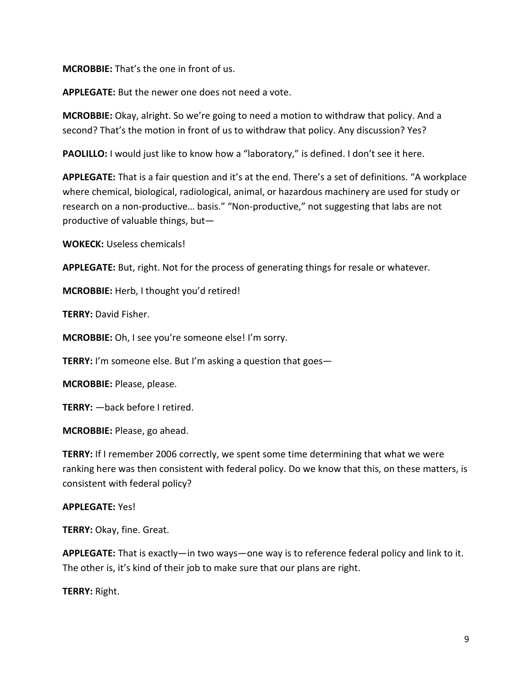### **MCROBBIE:** That's the one in front of us.

**APPLEGATE:** But the newer one does not need a vote.

**MCROBBIE:** Okay, alright. So we're going to need a motion to withdraw that policy. And a second? That's the motion in front of us to withdraw that policy. Any discussion? Yes?

**PAOLILLO:** I would just like to know how a "laboratory," is defined. I don't see it here.

**APPLEGATE:** That is a fair question and it's at the end. There's a set of definitions. "A workplace where chemical, biological, radiological, animal, or hazardous machinery are used for study or research on a non-productive… basis." "Non-productive," not suggesting that labs are not productive of valuable things, but—

**WOKECK:** Useless chemicals!

**APPLEGATE:** But, right. Not for the process of generating things for resale or whatever.

**MCROBBIE:** Herb, I thought you'd retired!

**TERRY:** David Fisher.

**MCROBBIE:** Oh, I see you're someone else! I'm sorry.

**TERRY:** I'm someone else. But I'm asking a question that goes—

**MCROBBIE:** Please, please.

**TERRY:** —back before I retired.

**MCROBBIE:** Please, go ahead.

**TERRY:** If I remember 2006 correctly, we spent some time determining that what we were ranking here was then consistent with federal policy. Do we know that this, on these matters, is consistent with federal policy?

#### **APPLEGATE:** Yes!

**TERRY:** Okay, fine. Great.

**APPLEGATE:** That is exactly—in two ways—one way is to reference federal policy and link to it. The other is, it's kind of their job to make sure that our plans are right.

**TERRY:** Right.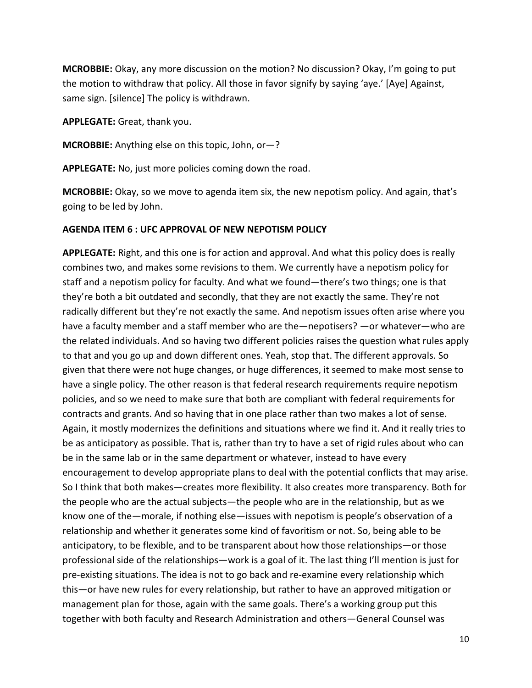**MCROBBIE:** Okay, any more discussion on the motion? No discussion? Okay, I'm going to put the motion to withdraw that policy. All those in favor signify by saying 'aye.' [Aye] Against, same sign. [silence] The policy is withdrawn.

**APPLEGATE:** Great, thank you.

**MCROBBIE:** Anything else on this topic, John, or—?

**APPLEGATE:** No, just more policies coming down the road.

**MCROBBIE:** Okay, so we move to agenda item six, the new nepotism policy. And again, that's going to be led by John.

#### **AGENDA ITEM 6 : UFC APPROVAL OF NEW NEPOTISM POLICY**

**APPLEGATE:** Right, and this one is for action and approval. And what this policy does is really combines two, and makes some revisions to them. We currently have a nepotism policy for staff and a nepotism policy for faculty. And what we found—there's two things; one is that they're both a bit outdated and secondly, that they are not exactly the same. They're not radically different but they're not exactly the same. And nepotism issues often arise where you have a faculty member and a staff member who are the—nepotisers? —or whatever—who are the related individuals. And so having two different policies raises the question what rules apply to that and you go up and down different ones. Yeah, stop that. The different approvals. So given that there were not huge changes, or huge differences, it seemed to make most sense to have a single policy. The other reason is that federal research requirements require nepotism policies, and so we need to make sure that both are compliant with federal requirements for contracts and grants. And so having that in one place rather than two makes a lot of sense. Again, it mostly modernizes the definitions and situations where we find it. And it really tries to be as anticipatory as possible. That is, rather than try to have a set of rigid rules about who can be in the same lab or in the same department or whatever, instead to have every encouragement to develop appropriate plans to deal with the potential conflicts that may arise. So I think that both makes—creates more flexibility. It also creates more transparency. Both for the people who are the actual subjects—the people who are in the relationship, but as we know one of the—morale, if nothing else—issues with nepotism is people's observation of a relationship and whether it generates some kind of favoritism or not. So, being able to be anticipatory, to be flexible, and to be transparent about how those relationships—or those professional side of the relationships—work is a goal of it. The last thing I'll mention is just for pre-existing situations. The idea is not to go back and re-examine every relationship which this—or have new rules for every relationship, but rather to have an approved mitigation or management plan for those, again with the same goals. There's a working group put this together with both faculty and Research Administration and others—General Counsel was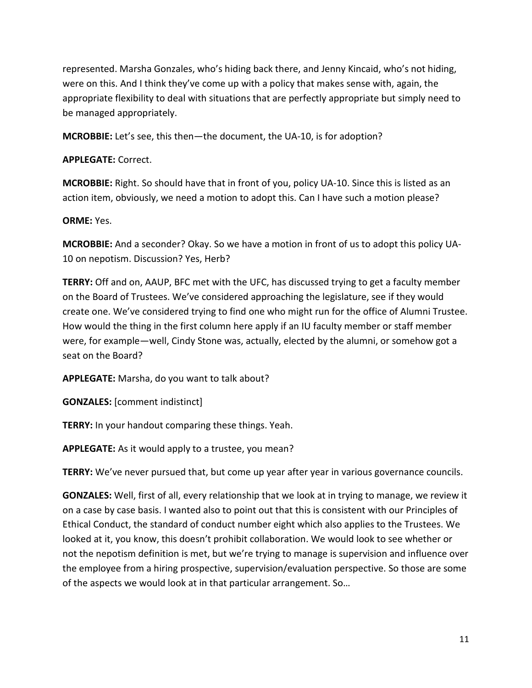represented. Marsha Gonzales, who's hiding back there, and Jenny Kincaid, who's not hiding, were on this. And I think they've come up with a policy that makes sense with, again, the appropriate flexibility to deal with situations that are perfectly appropriate but simply need to be managed appropriately.

**MCROBBIE:** Let's see, this then—the document, the UA-10, is for adoption?

**APPLEGATE:** Correct.

**MCROBBIE:** Right. So should have that in front of you, policy UA-10. Since this is listed as an action item, obviously, we need a motion to adopt this. Can I have such a motion please?

**ORME:** Yes.

**MCROBBIE:** And a seconder? Okay. So we have a motion in front of us to adopt this policy UA-10 on nepotism. Discussion? Yes, Herb?

**TERRY:** Off and on, AAUP, BFC met with the UFC, has discussed trying to get a faculty member on the Board of Trustees. We've considered approaching the legislature, see if they would create one. We've considered trying to find one who might run for the office of Alumni Trustee. How would the thing in the first column here apply if an IU faculty member or staff member were, for example—well, Cindy Stone was, actually, elected by the alumni, or somehow got a seat on the Board?

**APPLEGATE:** Marsha, do you want to talk about?

**GONZALES:** [comment indistinct]

**TERRY:** In your handout comparing these things. Yeah.

**APPLEGATE:** As it would apply to a trustee, you mean?

**TERRY:** We've never pursued that, but come up year after year in various governance councils.

**GONZALES:** Well, first of all, every relationship that we look at in trying to manage, we review it on a case by case basis. I wanted also to point out that this is consistent with our Principles of Ethical Conduct, the standard of conduct number eight which also applies to the Trustees. We looked at it, you know, this doesn't prohibit collaboration. We would look to see whether or not the nepotism definition is met, but we're trying to manage is supervision and influence over the employee from a hiring prospective, supervision/evaluation perspective. So those are some of the aspects we would look at in that particular arrangement. So…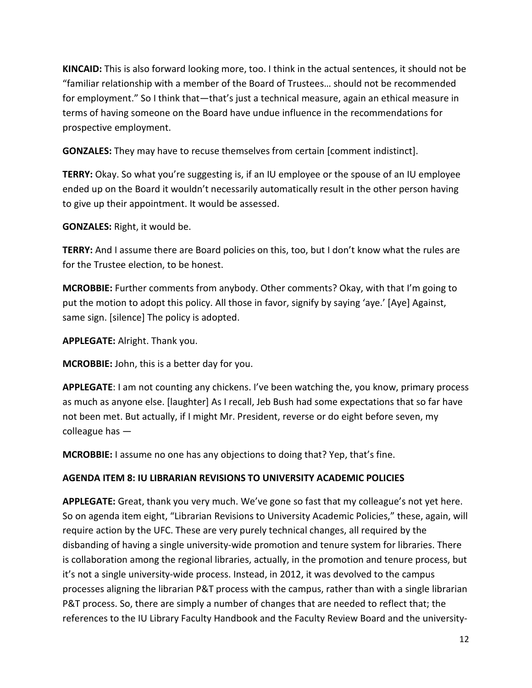**KINCAID:** This is also forward looking more, too. I think in the actual sentences, it should not be "familiar relationship with a member of the Board of Trustees… should not be recommended for employment." So I think that—that's just a technical measure, again an ethical measure in terms of having someone on the Board have undue influence in the recommendations for prospective employment.

**GONZALES:** They may have to recuse themselves from certain [comment indistinct].

**TERRY:** Okay. So what you're suggesting is, if an IU employee or the spouse of an IU employee ended up on the Board it wouldn't necessarily automatically result in the other person having to give up their appointment. It would be assessed.

**GONZALES:** Right, it would be.

**TERRY:** And I assume there are Board policies on this, too, but I don't know what the rules are for the Trustee election, to be honest.

**MCROBBIE:** Further comments from anybody. Other comments? Okay, with that I'm going to put the motion to adopt this policy. All those in favor, signify by saying 'aye.' [Aye] Against, same sign. [silence] The policy is adopted.

**APPLEGATE:** Alright. Thank you.

**MCROBBIE:** John, this is a better day for you.

**APPLEGATE**: I am not counting any chickens. I've been watching the, you know, primary process as much as anyone else. [laughter] As I recall, Jeb Bush had some expectations that so far have not been met. But actually, if I might Mr. President, reverse or do eight before seven, my colleague has —

**MCROBBIE:** I assume no one has any objections to doing that? Yep, that's fine.

# **AGENDA ITEM 8: IU LIBRARIAN REVISIONS TO UNIVERSITY ACADEMIC POLICIES**

**APPLEGATE:** Great, thank you very much. We've gone so fast that my colleague's not yet here. So on agenda item eight, "Librarian Revisions to University Academic Policies," these, again, will require action by the UFC. These are very purely technical changes, all required by the disbanding of having a single university-wide promotion and tenure system for libraries. There is collaboration among the regional libraries, actually, in the promotion and tenure process, but it's not a single university-wide process. Instead, in 2012, it was devolved to the campus processes aligning the librarian P&T process with the campus, rather than with a single librarian P&T process. So, there are simply a number of changes that are needed to reflect that; the references to the IU Library Faculty Handbook and the Faculty Review Board and the university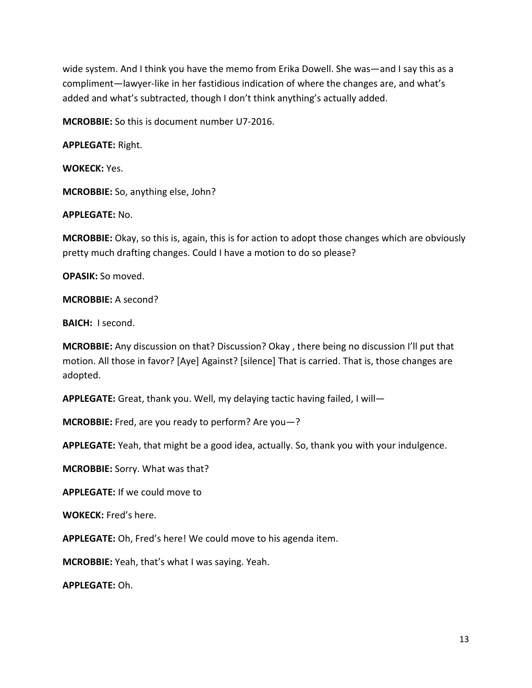wide system. And I think you have the memo from Erika Dowell. She was—and I say this as a compliment—lawyer-like in her fastidious indication of where the changes are, and what's added and what's subtracted, though I don't think anything's actually added.

**MCROBBIE:** So this is document number U7-2016.

**APPLEGATE:** Right.

**WOKECK:** Yes.

**MCROBBIE:** So, anything else, John?

**APPLEGATE:** No.

**MCROBBIE:** Okay, so this is, again, this is for action to adopt those changes which are obviously pretty much drafting changes. Could I have a motion to do so please?

**OPASIK:** So moved.

**MCROBBIE:** A second?

**BAICH:** I second.

**MCROBBIE:** Any discussion on that? Discussion? Okay , there being no discussion I'll put that motion. All those in favor? [Aye] Against? [silence] That is carried. That is, those changes are adopted.

**APPLEGATE:** Great, thank you. Well, my delaying tactic having failed, I will—

**MCROBBIE:** Fred, are you ready to perform? Are you—?

**APPLEGATE:** Yeah, that might be a good idea, actually. So, thank you with your indulgence.

**MCROBBIE:** Sorry. What was that?

**APPLEGATE:** If we could move to

**WOKECK:** Fred's here.

**APPLEGATE:** Oh, Fred's here! We could move to his agenda item.

**MCROBBIE:** Yeah, that's what I was saying. Yeah.

**APPLEGATE:** Oh.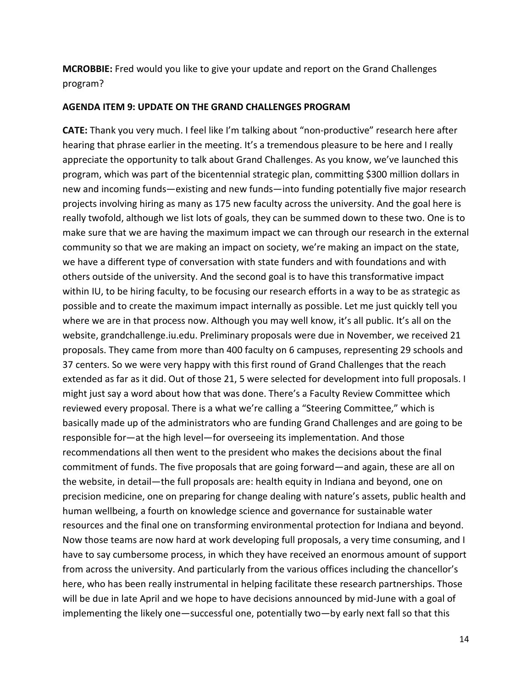**MCROBBIE:** Fred would you like to give your update and report on the Grand Challenges program?

#### **AGENDA ITEM 9: UPDATE ON THE GRAND CHALLENGES PROGRAM**

**CATE:** Thank you very much. I feel like I'm talking about "non-productive" research here after hearing that phrase earlier in the meeting. It's a tremendous pleasure to be here and I really appreciate the opportunity to talk about Grand Challenges. As you know, we've launched this program, which was part of the bicentennial strategic plan, committing \$300 million dollars in new and incoming funds—existing and new funds—into funding potentially five major research projects involving hiring as many as 175 new faculty across the university. And the goal here is really twofold, although we list lots of goals, they can be summed down to these two. One is to make sure that we are having the maximum impact we can through our research in the external community so that we are making an impact on society, we're making an impact on the state, we have a different type of conversation with state funders and with foundations and with others outside of the university. And the second goal is to have this transformative impact within IU, to be hiring faculty, to be focusing our research efforts in a way to be as strategic as possible and to create the maximum impact internally as possible. Let me just quickly tell you where we are in that process now. Although you may well know, it's all public. It's all on the website, grandchallenge.iu.edu. Preliminary proposals were due in November, we received 21 proposals. They came from more than 400 faculty on 6 campuses, representing 29 schools and 37 centers. So we were very happy with this first round of Grand Challenges that the reach extended as far as it did. Out of those 21, 5 were selected for development into full proposals. I might just say a word about how that was done. There's a Faculty Review Committee which reviewed every proposal. There is a what we're calling a "Steering Committee," which is basically made up of the administrators who are funding Grand Challenges and are going to be responsible for—at the high level—for overseeing its implementation. And those recommendations all then went to the president who makes the decisions about the final commitment of funds. The five proposals that are going forward—and again, these are all on the website, in detail—the full proposals are: health equity in Indiana and beyond, one on precision medicine, one on preparing for change dealing with nature's assets, public health and human wellbeing, a fourth on knowledge science and governance for sustainable water resources and the final one on transforming environmental protection for Indiana and beyond. Now those teams are now hard at work developing full proposals, a very time consuming, and I have to say cumbersome process, in which they have received an enormous amount of support from across the university. And particularly from the various offices including the chancellor's here, who has been really instrumental in helping facilitate these research partnerships. Those will be due in late April and we hope to have decisions announced by mid-June with a goal of implementing the likely one—successful one, potentially two—by early next fall so that this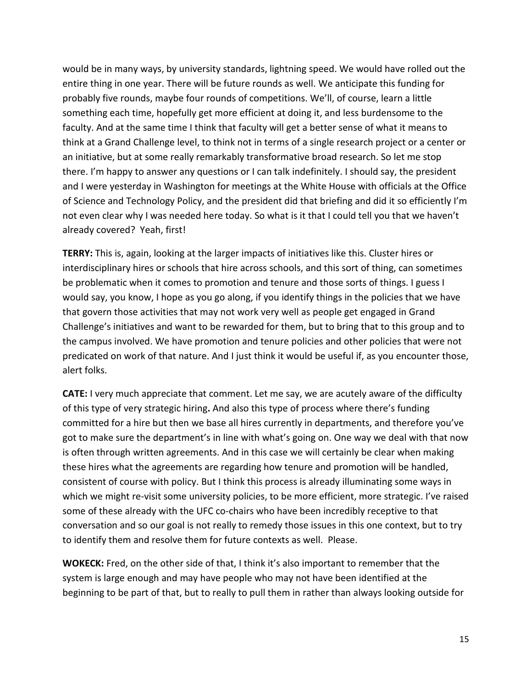would be in many ways, by university standards, lightning speed. We would have rolled out the entire thing in one year. There will be future rounds as well. We anticipate this funding for probably five rounds, maybe four rounds of competitions. We'll, of course, learn a little something each time, hopefully get more efficient at doing it, and less burdensome to the faculty. And at the same time I think that faculty will get a better sense of what it means to think at a Grand Challenge level, to think not in terms of a single research project or a center or an initiative, but at some really remarkably transformative broad research. So let me stop there. I'm happy to answer any questions or I can talk indefinitely. I should say, the president and I were yesterday in Washington for meetings at the White House with officials at the Office of Science and Technology Policy, and the president did that briefing and did it so efficiently I'm not even clear why I was needed here today. So what is it that I could tell you that we haven't already covered? Yeah, first!

**TERRY:** This is, again, looking at the larger impacts of initiatives like this. Cluster hires or interdisciplinary hires or schools that hire across schools, and this sort of thing, can sometimes be problematic when it comes to promotion and tenure and those sorts of things. I guess I would say, you know, I hope as you go along, if you identify things in the policies that we have that govern those activities that may not work very well as people get engaged in Grand Challenge's initiatives and want to be rewarded for them, but to bring that to this group and to the campus involved. We have promotion and tenure policies and other policies that were not predicated on work of that nature. And I just think it would be useful if, as you encounter those, alert folks.

**CATE:** I very much appreciate that comment. Let me say, we are acutely aware of the difficulty of this type of very strategic hiring**.** And also this type of process where there's funding committed for a hire but then we base all hires currently in departments, and therefore you've got to make sure the department's in line with what's going on. One way we deal with that now is often through written agreements. And in this case we will certainly be clear when making these hires what the agreements are regarding how tenure and promotion will be handled, consistent of course with policy. But I think this process is already illuminating some ways in which we might re-visit some university policies, to be more efficient, more strategic. I've raised some of these already with the UFC co-chairs who have been incredibly receptive to that conversation and so our goal is not really to remedy those issues in this one context, but to try to identify them and resolve them for future contexts as well. Please.

**WOKECK:** Fred, on the other side of that, I think it's also important to remember that the system is large enough and may have people who may not have been identified at the beginning to be part of that, but to really to pull them in rather than always looking outside for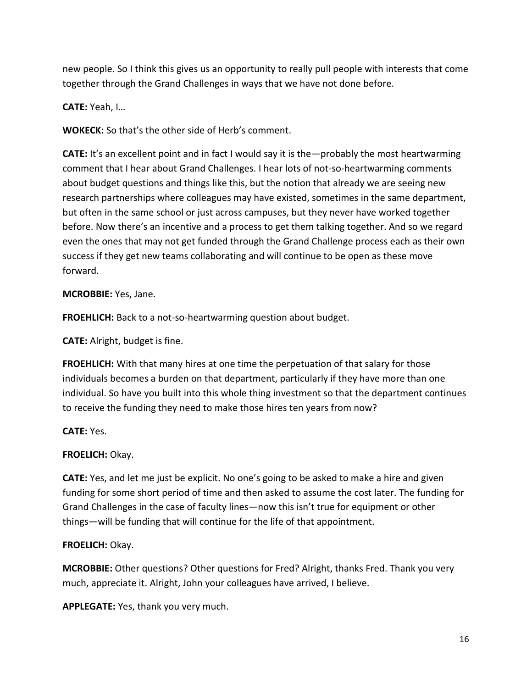new people. So I think this gives us an opportunity to really pull people with interests that come together through the Grand Challenges in ways that we have not done before.

**CATE:** Yeah, I…

**WOKECK:** So that's the other side of Herb's comment.

**CATE:** It's an excellent point and in fact I would say it is the—probably the most heartwarming comment that I hear about Grand Challenges. I hear lots of not-so-heartwarming comments about budget questions and things like this, but the notion that already we are seeing new research partnerships where colleagues may have existed, sometimes in the same department, but often in the same school or just across campuses, but they never have worked together before. Now there's an incentive and a process to get them talking together. And so we regard even the ones that may not get funded through the Grand Challenge process each as their own success if they get new teams collaborating and will continue to be open as these move forward.

**MCROBBIE:** Yes, Jane.

**FROEHLICH:** Back to a not-so-heartwarming question about budget.

**CATE:** Alright, budget is fine.

**FROEHLICH:** With that many hires at one time the perpetuation of that salary for those individuals becomes a burden on that department, particularly if they have more than one individual. So have you built into this whole thing investment so that the department continues to receive the funding they need to make those hires ten years from now?

**CATE:** Yes.

**FROELICH:** Okay.

**CATE:** Yes, and let me just be explicit. No one's going to be asked to make a hire and given funding for some short period of time and then asked to assume the cost later. The funding for Grand Challenges in the case of faculty lines—now this isn't true for equipment or other things—will be funding that will continue for the life of that appointment.

# **FROELICH:** Okay.

**MCROBBIE:** Other questions? Other questions for Fred? Alright, thanks Fred. Thank you very much, appreciate it. Alright, John your colleagues have arrived, I believe.

**APPLEGATE:** Yes, thank you very much.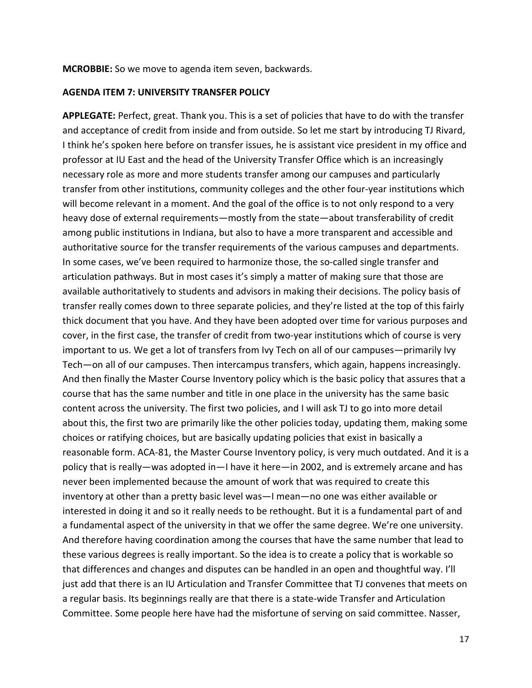**MCROBBIE:** So we move to agenda item seven, backwards.

#### **AGENDA ITEM 7: UNIVERSITY TRANSFER POLICY**

**APPLEGATE:** Perfect, great. Thank you. This is a set of policies that have to do with the transfer and acceptance of credit from inside and from outside. So let me start by introducing TJ Rivard, I think he's spoken here before on transfer issues, he is assistant vice president in my office and professor at IU East and the head of the University Transfer Office which is an increasingly necessary role as more and more students transfer among our campuses and particularly transfer from other institutions, community colleges and the other four-year institutions which will become relevant in a moment. And the goal of the office is to not only respond to a very heavy dose of external requirements—mostly from the state—about transferability of credit among public institutions in Indiana, but also to have a more transparent and accessible and authoritative source for the transfer requirements of the various campuses and departments. In some cases, we've been required to harmonize those, the so-called single transfer and articulation pathways. But in most cases it's simply a matter of making sure that those are available authoritatively to students and advisors in making their decisions. The policy basis of transfer really comes down to three separate policies, and they're listed at the top of this fairly thick document that you have. And they have been adopted over time for various purposes and cover, in the first case, the transfer of credit from two-year institutions which of course is very important to us. We get a lot of transfers from Ivy Tech on all of our campuses—primarily Ivy Tech—on all of our campuses. Then intercampus transfers, which again, happens increasingly. And then finally the Master Course Inventory policy which is the basic policy that assures that a course that has the same number and title in one place in the university has the same basic content across the university. The first two policies, and I will ask TJ to go into more detail about this, the first two are primarily like the other policies today, updating them, making some choices or ratifying choices, but are basically updating policies that exist in basically a reasonable form. ACA-81, the Master Course Inventory policy, is very much outdated. And it is a policy that is really—was adopted in—I have it here—in 2002, and is extremely arcane and has never been implemented because the amount of work that was required to create this inventory at other than a pretty basic level was—I mean—no one was either available or interested in doing it and so it really needs to be rethought. But it is a fundamental part of and a fundamental aspect of the university in that we offer the same degree. We're one university. And therefore having coordination among the courses that have the same number that lead to these various degrees is really important. So the idea is to create a policy that is workable so that differences and changes and disputes can be handled in an open and thoughtful way. I'll just add that there is an IU Articulation and Transfer Committee that TJ convenes that meets on a regular basis. Its beginnings really are that there is a state-wide Transfer and Articulation Committee. Some people here have had the misfortune of serving on said committee. Nasser,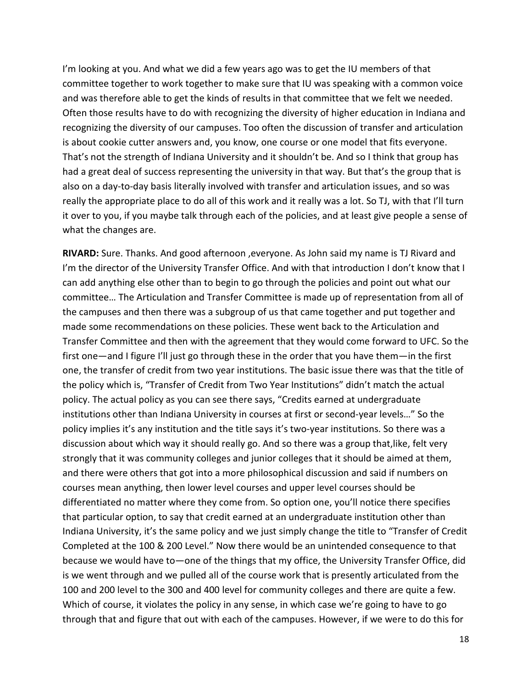I'm looking at you. And what we did a few years ago was to get the IU members of that committee together to work together to make sure that IU was speaking with a common voice and was therefore able to get the kinds of results in that committee that we felt we needed. Often those results have to do with recognizing the diversity of higher education in Indiana and recognizing the diversity of our campuses. Too often the discussion of transfer and articulation is about cookie cutter answers and, you know, one course or one model that fits everyone. That's not the strength of Indiana University and it shouldn't be. And so I think that group has had a great deal of success representing the university in that way. But that's the group that is also on a day-to-day basis literally involved with transfer and articulation issues, and so was really the appropriate place to do all of this work and it really was a lot. So TJ, with that I'll turn it over to you, if you maybe talk through each of the policies, and at least give people a sense of what the changes are.

**RIVARD:** Sure. Thanks. And good afternoon ,everyone. As John said my name is TJ Rivard and I'm the director of the University Transfer Office. And with that introduction I don't know that I can add anything else other than to begin to go through the policies and point out what our committee… The Articulation and Transfer Committee is made up of representation from all of the campuses and then there was a subgroup of us that came together and put together and made some recommendations on these policies. These went back to the Articulation and Transfer Committee and then with the agreement that they would come forward to UFC. So the first one—and I figure I'll just go through these in the order that you have them—in the first one, the transfer of credit from two year institutions. The basic issue there was that the title of the policy which is, "Transfer of Credit from Two Year Institutions" didn't match the actual policy. The actual policy as you can see there says, "Credits earned at undergraduate institutions other than Indiana University in courses at first or second-year levels…" So the policy implies it's any institution and the title says it's two-year institutions. So there was a discussion about which way it should really go. And so there was a group that,like, felt very strongly that it was community colleges and junior colleges that it should be aimed at them, and there were others that got into a more philosophical discussion and said if numbers on courses mean anything, then lower level courses and upper level courses should be differentiated no matter where they come from. So option one, you'll notice there specifies that particular option, to say that credit earned at an undergraduate institution other than Indiana University, it's the same policy and we just simply change the title to "Transfer of Credit Completed at the 100 & 200 Level." Now there would be an unintended consequence to that because we would have to—one of the things that my office, the University Transfer Office, did is we went through and we pulled all of the course work that is presently articulated from the 100 and 200 level to the 300 and 400 level for community colleges and there are quite a few. Which of course, it violates the policy in any sense, in which case we're going to have to go through that and figure that out with each of the campuses. However, if we were to do this for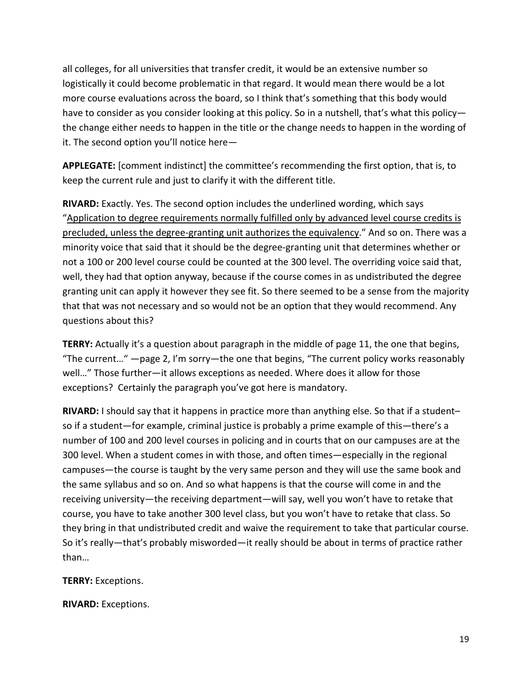all colleges, for all universities that transfer credit, it would be an extensive number so logistically it could become problematic in that regard. It would mean there would be a lot more course evaluations across the board, so I think that's something that this body would have to consider as you consider looking at this policy. So in a nutshell, that's what this policy the change either needs to happen in the title or the change needs to happen in the wording of it. The second option you'll notice here—

**APPLEGATE:** [comment indistinct] the committee's recommending the first option, that is, to keep the current rule and just to clarify it with the different title.

**RIVARD:** Exactly. Yes. The second option includes the underlined wording, which says "Application to degree requirements normally fulfilled only by advanced level course credits is precluded, unless the degree-granting unit authorizes the equivalency." And so on. There was a minority voice that said that it should be the degree-granting unit that determines whether or not a 100 or 200 level course could be counted at the 300 level. The overriding voice said that, well, they had that option anyway, because if the course comes in as undistributed the degree granting unit can apply it however they see fit. So there seemed to be a sense from the majority that that was not necessary and so would not be an option that they would recommend. Any questions about this?

**TERRY:** Actually it's a question about paragraph in the middle of page 11, the one that begins, "The current…" —page 2, I'm sorry—the one that begins, "The current policy works reasonably well…" Those further—it allows exceptions as needed. Where does it allow for those exceptions? Certainly the paragraph you've got here is mandatory.

**RIVARD:** I should say that it happens in practice more than anything else. So that if a student– so if a student—for example, criminal justice is probably a prime example of this—there's a number of 100 and 200 level courses in policing and in courts that on our campuses are at the 300 level. When a student comes in with those, and often times—especially in the regional campuses—the course is taught by the very same person and they will use the same book and the same syllabus and so on. And so what happens is that the course will come in and the receiving university—the receiving department—will say, well you won't have to retake that course, you have to take another 300 level class, but you won't have to retake that class. So they bring in that undistributed credit and waive the requirement to take that particular course. So it's really—that's probably misworded—it really should be about in terms of practice rather than…

# **TERRY:** Exceptions.

**RIVARD:** Exceptions.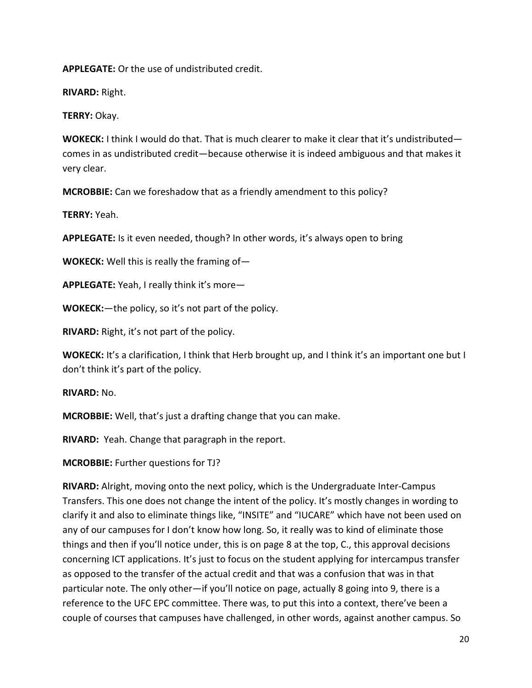**APPLEGATE:** Or the use of undistributed credit.

**RIVARD:** Right.

**TERRY:** Okay.

**WOKECK:** I think I would do that. That is much clearer to make it clear that it's undistributed comes in as undistributed credit—because otherwise it is indeed ambiguous and that makes it very clear.

**MCROBBIE:** Can we foreshadow that as a friendly amendment to this policy?

**TERRY:** Yeah.

**APPLEGATE:** Is it even needed, though? In other words, it's always open to bring

**WOKECK:** Well this is really the framing of—

**APPLEGATE:** Yeah, I really think it's more—

**WOKECK:**—the policy, so it's not part of the policy.

**RIVARD:** Right, it's not part of the policy.

**WOKECK:** It's a clarification, I think that Herb brought up, and I think it's an important one but I don't think it's part of the policy.

**RIVARD:** No.

**MCROBBIE:** Well, that's just a drafting change that you can make.

**RIVARD:** Yeah. Change that paragraph in the report.

**MCROBBIE:** Further questions for TJ?

**RIVARD:** Alright, moving onto the next policy, which is the Undergraduate Inter-Campus Transfers. This one does not change the intent of the policy. It's mostly changes in wording to clarify it and also to eliminate things like, "INSITE" and "IUCARE" which have not been used on any of our campuses for I don't know how long. So, it really was to kind of eliminate those things and then if you'll notice under, this is on page 8 at the top, C., this approval decisions concerning ICT applications. It's just to focus on the student applying for intercampus transfer as opposed to the transfer of the actual credit and that was a confusion that was in that particular note. The only other—if you'll notice on page, actually 8 going into 9, there is a reference to the UFC EPC committee. There was, to put this into a context, there've been a couple of courses that campuses have challenged, in other words, against another campus. So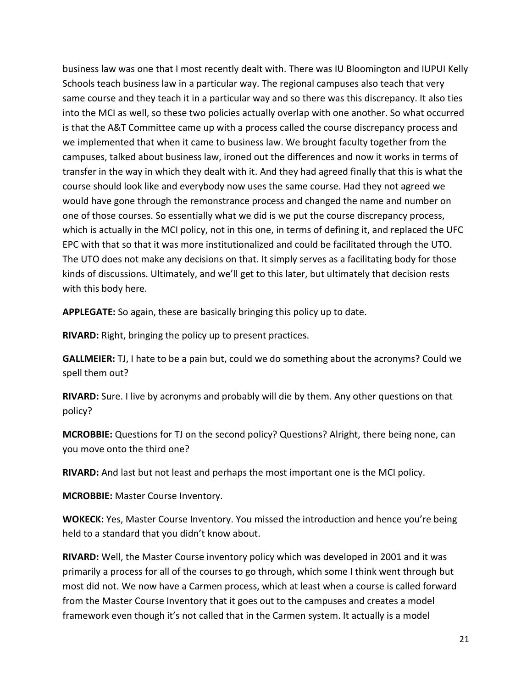business law was one that I most recently dealt with. There was IU Bloomington and IUPUI Kelly Schools teach business law in a particular way. The regional campuses also teach that very same course and they teach it in a particular way and so there was this discrepancy. It also ties into the MCI as well, so these two policies actually overlap with one another. So what occurred is that the A&T Committee came up with a process called the course discrepancy process and we implemented that when it came to business law. We brought faculty together from the campuses, talked about business law, ironed out the differences and now it works in terms of transfer in the way in which they dealt with it. And they had agreed finally that this is what the course should look like and everybody now uses the same course. Had they not agreed we would have gone through the remonstrance process and changed the name and number on one of those courses. So essentially what we did is we put the course discrepancy process, which is actually in the MCI policy, not in this one, in terms of defining it, and replaced the UFC EPC with that so that it was more institutionalized and could be facilitated through the UTO. The UTO does not make any decisions on that. It simply serves as a facilitating body for those kinds of discussions. Ultimately, and we'll get to this later, but ultimately that decision rests with this body here.

**APPLEGATE:** So again, these are basically bringing this policy up to date.

**RIVARD:** Right, bringing the policy up to present practices.

**GALLMEIER:** TJ, I hate to be a pain but, could we do something about the acronyms? Could we spell them out?

**RIVARD:** Sure. I live by acronyms and probably will die by them. Any other questions on that policy?

**MCROBBIE:** Questions for TJ on the second policy? Questions? Alright, there being none, can you move onto the third one?

**RIVARD:** And last but not least and perhaps the most important one is the MCI policy.

**MCROBBIE:** Master Course Inventory.

**WOKECK:** Yes, Master Course Inventory. You missed the introduction and hence you're being held to a standard that you didn't know about.

**RIVARD:** Well, the Master Course inventory policy which was developed in 2001 and it was primarily a process for all of the courses to go through, which some I think went through but most did not. We now have a Carmen process, which at least when a course is called forward from the Master Course Inventory that it goes out to the campuses and creates a model framework even though it's not called that in the Carmen system. It actually is a model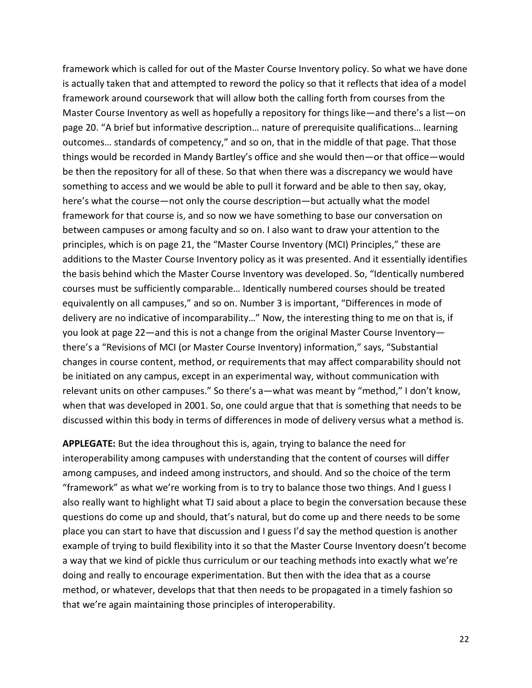framework which is called for out of the Master Course Inventory policy. So what we have done is actually taken that and attempted to reword the policy so that it reflects that idea of a model framework around coursework that will allow both the calling forth from courses from the Master Course Inventory as well as hopefully a repository for things like—and there's a list—on page 20. "A brief but informative description… nature of prerequisite qualifications… learning outcomes… standards of competency," and so on, that in the middle of that page. That those things would be recorded in Mandy Bartley's office and she would then—or that office—would be then the repository for all of these. So that when there was a discrepancy we would have something to access and we would be able to pull it forward and be able to then say, okay, here's what the course—not only the course description—but actually what the model framework for that course is, and so now we have something to base our conversation on between campuses or among faculty and so on. I also want to draw your attention to the principles, which is on page 21, the "Master Course Inventory (MCI) Principles," these are additions to the Master Course Inventory policy as it was presented. And it essentially identifies the basis behind which the Master Course Inventory was developed. So, "Identically numbered courses must be sufficiently comparable… Identically numbered courses should be treated equivalently on all campuses," and so on. Number 3 is important, "Differences in mode of delivery are no indicative of incomparability…" Now, the interesting thing to me on that is, if you look at page 22—and this is not a change from the original Master Course Inventory there's a "Revisions of MCI (or Master Course Inventory) information," says, "Substantial changes in course content, method, or requirements that may affect comparability should not be initiated on any campus, except in an experimental way, without communication with relevant units on other campuses." So there's a—what was meant by "method," I don't know, when that was developed in 2001. So, one could argue that that is something that needs to be discussed within this body in terms of differences in mode of delivery versus what a method is.

**APPLEGATE:** But the idea throughout this is, again, trying to balance the need for interoperability among campuses with understanding that the content of courses will differ among campuses, and indeed among instructors, and should. And so the choice of the term "framework" as what we're working from is to try to balance those two things. And I guess I also really want to highlight what TJ said about a place to begin the conversation because these questions do come up and should, that's natural, but do come up and there needs to be some place you can start to have that discussion and I guess I'd say the method question is another example of trying to build flexibility into it so that the Master Course Inventory doesn't become a way that we kind of pickle thus curriculum or our teaching methods into exactly what we're doing and really to encourage experimentation. But then with the idea that as a course method, or whatever, develops that that then needs to be propagated in a timely fashion so that we're again maintaining those principles of interoperability.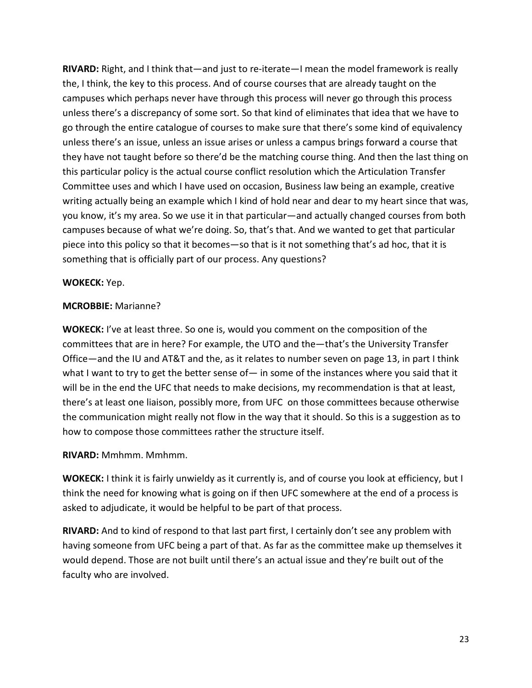**RIVARD:** Right, and I think that—and just to re-iterate—I mean the model framework is really the, I think, the key to this process. And of course courses that are already taught on the campuses which perhaps never have through this process will never go through this process unless there's a discrepancy of some sort. So that kind of eliminates that idea that we have to go through the entire catalogue of courses to make sure that there's some kind of equivalency unless there's an issue, unless an issue arises or unless a campus brings forward a course that they have not taught before so there'd be the matching course thing. And then the last thing on this particular policy is the actual course conflict resolution which the Articulation Transfer Committee uses and which I have used on occasion, Business law being an example, creative writing actually being an example which I kind of hold near and dear to my heart since that was, you know, it's my area. So we use it in that particular—and actually changed courses from both campuses because of what we're doing. So, that's that. And we wanted to get that particular piece into this policy so that it becomes—so that is it not something that's ad hoc, that it is something that is officially part of our process. Any questions?

# **WOKECK:** Yep.

### **MCROBBIE:** Marianne?

**WOKECK:** I've at least three. So one is, would you comment on the composition of the committees that are in here? For example, the UTO and the—that's the University Transfer Office—and the IU and AT&T and the, as it relates to number seven on page 13, in part I think what I want to try to get the better sense of  $-$  in some of the instances where you said that it will be in the end the UFC that needs to make decisions, my recommendation is that at least, there's at least one liaison, possibly more, from UFC on those committees because otherwise the communication might really not flow in the way that it should. So this is a suggestion as to how to compose those committees rather the structure itself.

# **RIVARD:** Mmhmm. Mmhmm.

**WOKECK:** I think it is fairly unwieldy as it currently is, and of course you look at efficiency, but I think the need for knowing what is going on if then UFC somewhere at the end of a process is asked to adjudicate, it would be helpful to be part of that process.

**RIVARD:** And to kind of respond to that last part first, I certainly don't see any problem with having someone from UFC being a part of that. As far as the committee make up themselves it would depend. Those are not built until there's an actual issue and they're built out of the faculty who are involved.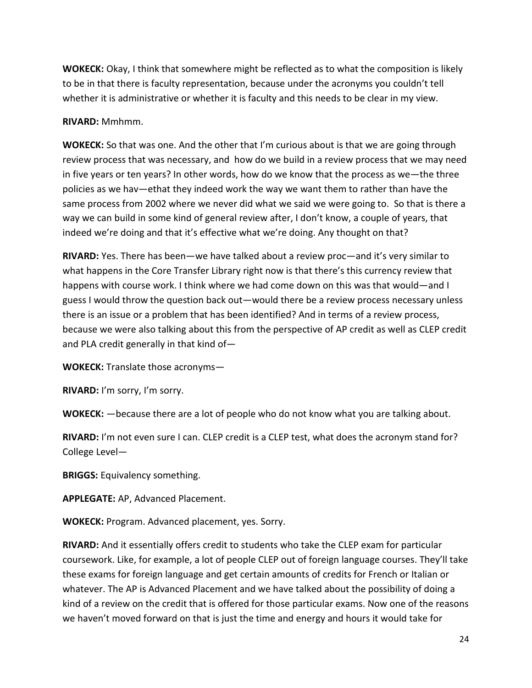**WOKECK:** Okay, I think that somewhere might be reflected as to what the composition is likely to be in that there is faculty representation, because under the acronyms you couldn't tell whether it is administrative or whether it is faculty and this needs to be clear in my view.

### **RIVARD:** Mmhmm.

**WOKECK:** So that was one. And the other that I'm curious about is that we are going through review process that was necessary, and how do we build in a review process that we may need in five years or ten years? In other words, how do we know that the process as we—the three policies as we hav—ethat they indeed work the way we want them to rather than have the same process from 2002 where we never did what we said we were going to. So that is there a way we can build in some kind of general review after, I don't know, a couple of years, that indeed we're doing and that it's effective what we're doing. Any thought on that?

**RIVARD:** Yes. There has been—we have talked about a review proc—and it's very similar to what happens in the Core Transfer Library right now is that there's this currency review that happens with course work. I think where we had come down on this was that would—and I guess I would throw the question back out—would there be a review process necessary unless there is an issue or a problem that has been identified? And in terms of a review process, because we were also talking about this from the perspective of AP credit as well as CLEP credit and PLA credit generally in that kind of—

**WOKECK:** Translate those acronyms—

**RIVARD:** I'm sorry, I'm sorry.

**WOKECK:** —because there are a lot of people who do not know what you are talking about.

**RIVARD:** I'm not even sure I can. CLEP credit is a CLEP test, what does the acronym stand for? College Level—

**BRIGGS:** Equivalency something.

**APPLEGATE:** AP, Advanced Placement.

**WOKECK:** Program. Advanced placement, yes. Sorry.

**RIVARD:** And it essentially offers credit to students who take the CLEP exam for particular coursework. Like, for example, a lot of people CLEP out of foreign language courses. They'll take these exams for foreign language and get certain amounts of credits for French or Italian or whatever. The AP is Advanced Placement and we have talked about the possibility of doing a kind of a review on the credit that is offered for those particular exams. Now one of the reasons we haven't moved forward on that is just the time and energy and hours it would take for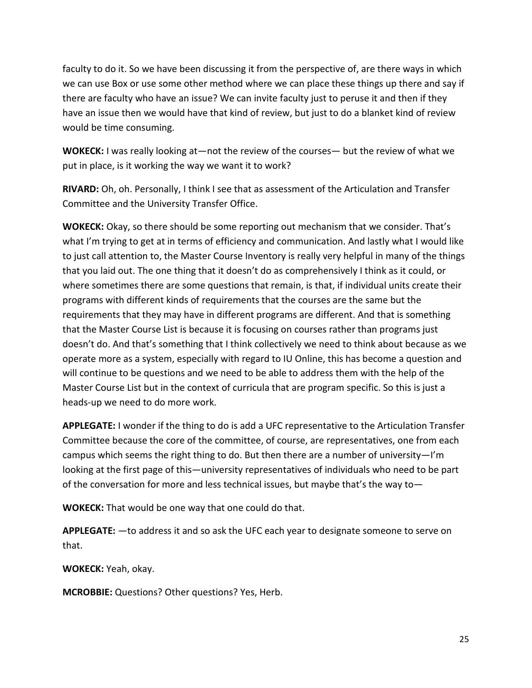faculty to do it. So we have been discussing it from the perspective of, are there ways in which we can use Box or use some other method where we can place these things up there and say if there are faculty who have an issue? We can invite faculty just to peruse it and then if they have an issue then we would have that kind of review, but just to do a blanket kind of review would be time consuming.

**WOKECK:** I was really looking at—not the review of the courses— but the review of what we put in place, is it working the way we want it to work?

**RIVARD:** Oh, oh. Personally, I think I see that as assessment of the Articulation and Transfer Committee and the University Transfer Office.

**WOKECK:** Okay, so there should be some reporting out mechanism that we consider. That's what I'm trying to get at in terms of efficiency and communication. And lastly what I would like to just call attention to, the Master Course Inventory is really very helpful in many of the things that you laid out. The one thing that it doesn't do as comprehensively I think as it could, or where sometimes there are some questions that remain, is that, if individual units create their programs with different kinds of requirements that the courses are the same but the requirements that they may have in different programs are different. And that is something that the Master Course List is because it is focusing on courses rather than programs just doesn't do. And that's something that I think collectively we need to think about because as we operate more as a system, especially with regard to IU Online, this has become a question and will continue to be questions and we need to be able to address them with the help of the Master Course List but in the context of curricula that are program specific. So this is just a heads-up we need to do more work.

**APPLEGATE:** I wonder if the thing to do is add a UFC representative to the Articulation Transfer Committee because the core of the committee, of course, are representatives, one from each campus which seems the right thing to do. But then there are a number of university—I'm looking at the first page of this—university representatives of individuals who need to be part of the conversation for more and less technical issues, but maybe that's the way to—

**WOKECK:** That would be one way that one could do that.

**APPLEGATE:** —to address it and so ask the UFC each year to designate someone to serve on that.

**WOKECK:** Yeah, okay.

**MCROBBIE:** Questions? Other questions? Yes, Herb.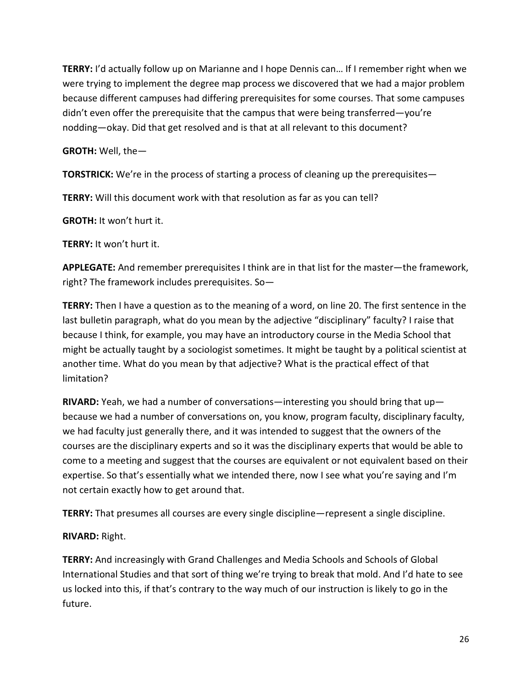**TERRY:** I'd actually follow up on Marianne and I hope Dennis can… If I remember right when we were trying to implement the degree map process we discovered that we had a major problem because different campuses had differing prerequisites for some courses. That some campuses didn't even offer the prerequisite that the campus that were being transferred—you're nodding—okay. Did that get resolved and is that at all relevant to this document?

**GROTH:** Well, the—

**TORSTRICK:** We're in the process of starting a process of cleaning up the prerequisites—

**TERRY:** Will this document work with that resolution as far as you can tell?

**GROTH:** It won't hurt it.

**TERRY:** It won't hurt it.

**APPLEGATE:** And remember prerequisites I think are in that list for the master—the framework, right? The framework includes prerequisites. So—

**TERRY:** Then I have a question as to the meaning of a word, on line 20. The first sentence in the last bulletin paragraph, what do you mean by the adjective "disciplinary" faculty? I raise that because I think, for example, you may have an introductory course in the Media School that might be actually taught by a sociologist sometimes. It might be taught by a political scientist at another time. What do you mean by that adjective? What is the practical effect of that limitation?

**RIVARD:** Yeah, we had a number of conversations—interesting you should bring that up because we had a number of conversations on, you know, program faculty, disciplinary faculty, we had faculty just generally there, and it was intended to suggest that the owners of the courses are the disciplinary experts and so it was the disciplinary experts that would be able to come to a meeting and suggest that the courses are equivalent or not equivalent based on their expertise. So that's essentially what we intended there, now I see what you're saying and I'm not certain exactly how to get around that.

**TERRY:** That presumes all courses are every single discipline—represent a single discipline.

**RIVARD:** Right.

**TERRY:** And increasingly with Grand Challenges and Media Schools and Schools of Global International Studies and that sort of thing we're trying to break that mold. And I'd hate to see us locked into this, if that's contrary to the way much of our instruction is likely to go in the future.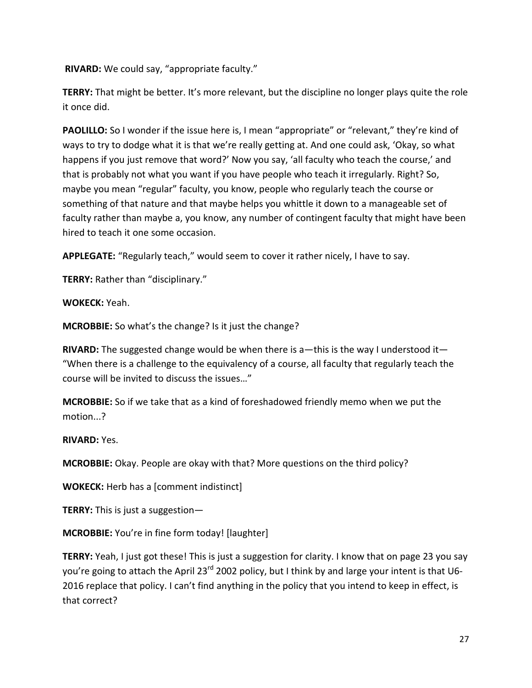**RIVARD:** We could say, "appropriate faculty."

**TERRY:** That might be better. It's more relevant, but the discipline no longer plays quite the role it once did.

**PAOLILLO:** So I wonder if the issue here is, I mean "appropriate" or "relevant," they're kind of ways to try to dodge what it is that we're really getting at. And one could ask, 'Okay, so what happens if you just remove that word?' Now you say, 'all faculty who teach the course,' and that is probably not what you want if you have people who teach it irregularly. Right? So, maybe you mean "regular" faculty, you know, people who regularly teach the course or something of that nature and that maybe helps you whittle it down to a manageable set of faculty rather than maybe a, you know, any number of contingent faculty that might have been hired to teach it one some occasion.

**APPLEGATE:** "Regularly teach," would seem to cover it rather nicely, I have to say.

**TERRY:** Rather than "disciplinary."

**WOKECK:** Yeah.

**MCROBBIE:** So what's the change? Is it just the change?

**RIVARD:** The suggested change would be when there is a—this is the way I understood it— "When there is a challenge to the equivalency of a course, all faculty that regularly teach the course will be invited to discuss the issues…"

**MCROBBIE:** So if we take that as a kind of foreshadowed friendly memo when we put the motion...?

**RIVARD:** Yes.

**MCROBBIE:** Okay. People are okay with that? More questions on the third policy?

**WOKECK:** Herb has a [comment indistinct]

**TERRY:** This is just a suggestion—

**MCROBBIE:** You're in fine form today! [laughter]

**TERRY:** Yeah, I just got these! This is just a suggestion for clarity. I know that on page 23 you say you're going to attach the April 23<sup>rd</sup> 2002 policy, but I think by and large your intent is that U6-2016 replace that policy. I can't find anything in the policy that you intend to keep in effect, is that correct?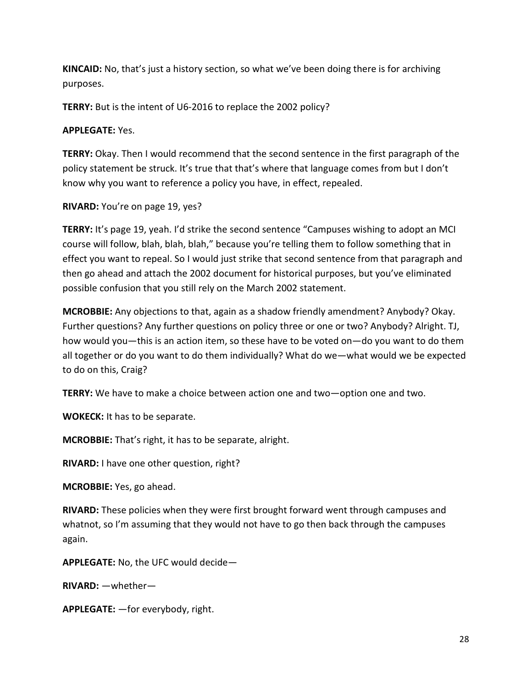**KINCAID:** No, that's just a history section, so what we've been doing there is for archiving purposes.

**TERRY:** But is the intent of U6-2016 to replace the 2002 policy?

### **APPLEGATE:** Yes.

**TERRY:** Okay. Then I would recommend that the second sentence in the first paragraph of the policy statement be struck. It's true that that's where that language comes from but I don't know why you want to reference a policy you have, in effect, repealed.

**RIVARD:** You're on page 19, yes?

**TERRY:** It's page 19, yeah. I'd strike the second sentence "Campuses wishing to adopt an MCI course will follow, blah, blah, blah," because you're telling them to follow something that in effect you want to repeal. So I would just strike that second sentence from that paragraph and then go ahead and attach the 2002 document for historical purposes, but you've eliminated possible confusion that you still rely on the March 2002 statement.

**MCROBBIE:** Any objections to that, again as a shadow friendly amendment? Anybody? Okay. Further questions? Any further questions on policy three or one or two? Anybody? Alright. TJ, how would you—this is an action item, so these have to be voted on—do you want to do them all together or do you want to do them individually? What do we—what would we be expected to do on this, Craig?

**TERRY:** We have to make a choice between action one and two—option one and two.

**WOKECK:** It has to be separate.

**MCROBBIE:** That's right, it has to be separate, alright.

**RIVARD:** I have one other question, right?

**MCROBBIE:** Yes, go ahead.

**RIVARD:** These policies when they were first brought forward went through campuses and whatnot, so I'm assuming that they would not have to go then back through the campuses again.

**APPLEGATE:** No, the UFC would decide—

**RIVARD:** —whether—

**APPLEGATE:** —for everybody, right.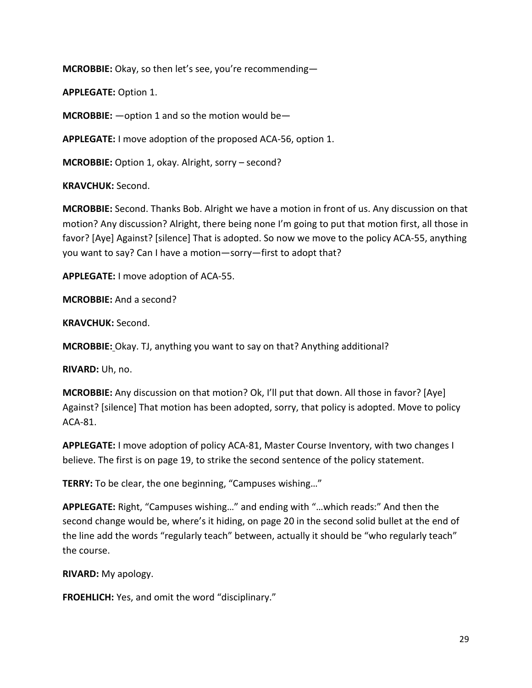**MCROBBIE:** Okay, so then let's see, you're recommending—

**APPLEGATE:** Option 1.

**MCROBBIE:** —option 1 and so the motion would be—

**APPLEGATE:** I move adoption of the proposed ACA-56, option 1.

**MCROBBIE:** Option 1, okay. Alright, sorry – second?

**KRAVCHUK:** Second.

**MCROBBIE:** Second. Thanks Bob. Alright we have a motion in front of us. Any discussion on that motion? Any discussion? Alright, there being none I'm going to put that motion first, all those in favor? [Aye] Against? [silence] That is adopted. So now we move to the policy ACA-55, anything you want to say? Can I have a motion—sorry—first to adopt that?

**APPLEGATE:** I move adoption of ACA-55.

**MCROBBIE:** And a second?

**KRAVCHUK:** Second.

**MCROBBIE:** Okay. TJ, anything you want to say on that? Anything additional?

**RIVARD:** Uh, no.

**MCROBBIE:** Any discussion on that motion? Ok, I'll put that down. All those in favor? [Aye] Against? [silence] That motion has been adopted, sorry, that policy is adopted. Move to policy ACA-81.

**APPLEGATE:** I move adoption of policy ACA-81, Master Course Inventory, with two changes I believe. The first is on page 19, to strike the second sentence of the policy statement.

**TERRY:** To be clear, the one beginning, "Campuses wishing…"

**APPLEGATE:** Right, "Campuses wishing…" and ending with "…which reads:" And then the second change would be, where's it hiding, on page 20 in the second solid bullet at the end of the line add the words "regularly teach" between, actually it should be "who regularly teach" the course.

**RIVARD:** My apology.

**FROEHLICH:** Yes, and omit the word "disciplinary."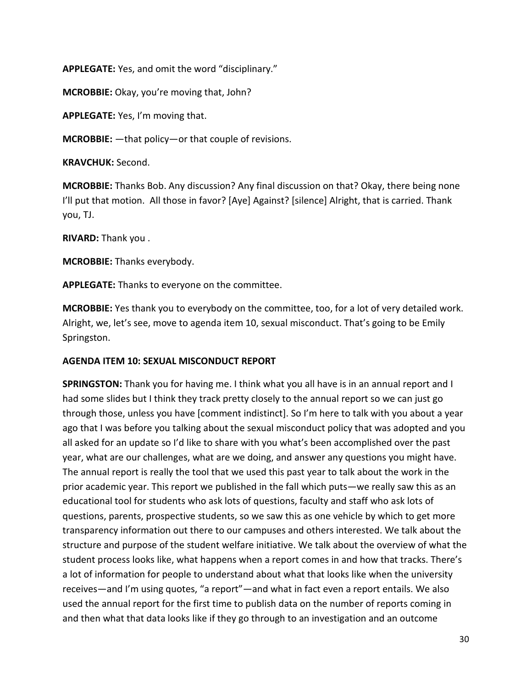**APPLEGATE:** Yes, and omit the word "disciplinary."

**MCROBBIE:** Okay, you're moving that, John?

**APPLEGATE:** Yes, I'm moving that.

**MCROBBIE:** —that policy—or that couple of revisions.

**KRAVCHUK:** Second.

**MCROBBIE:** Thanks Bob. Any discussion? Any final discussion on that? Okay, there being none I'll put that motion. All those in favor? [Aye] Against? [silence] Alright, that is carried. Thank you, TJ.

**RIVARD:** Thank you .

**MCROBBIE:** Thanks everybody.

**APPLEGATE:** Thanks to everyone on the committee.

**MCROBBIE:** Yes thank you to everybody on the committee, too, for a lot of very detailed work. Alright, we, let's see, move to agenda item 10, sexual misconduct. That's going to be Emily Springston.

# **AGENDA ITEM 10: SEXUAL MISCONDUCT REPORT**

**SPRINGSTON:** Thank you for having me. I think what you all have is in an annual report and I had some slides but I think they track pretty closely to the annual report so we can just go through those, unless you have [comment indistinct]. So I'm here to talk with you about a year ago that I was before you talking about the sexual misconduct policy that was adopted and you all asked for an update so I'd like to share with you what's been accomplished over the past year, what are our challenges, what are we doing, and answer any questions you might have. The annual report is really the tool that we used this past year to talk about the work in the prior academic year. This report we published in the fall which puts—we really saw this as an educational tool for students who ask lots of questions, faculty and staff who ask lots of questions, parents, prospective students, so we saw this as one vehicle by which to get more transparency information out there to our campuses and others interested. We talk about the structure and purpose of the student welfare initiative. We talk about the overview of what the student process looks like, what happens when a report comes in and how that tracks. There's a lot of information for people to understand about what that looks like when the university receives—and I'm using quotes, "a report"—and what in fact even a report entails. We also used the annual report for the first time to publish data on the number of reports coming in and then what that data looks like if they go through to an investigation and an outcome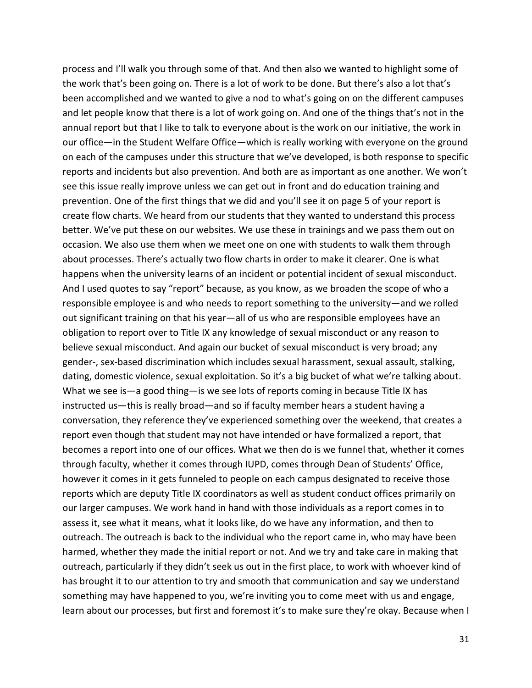process and I'll walk you through some of that. And then also we wanted to highlight some of the work that's been going on. There is a lot of work to be done. But there's also a lot that's been accomplished and we wanted to give a nod to what's going on on the different campuses and let people know that there is a lot of work going on. And one of the things that's not in the annual report but that I like to talk to everyone about is the work on our initiative, the work in our office—in the Student Welfare Office—which is really working with everyone on the ground on each of the campuses under this structure that we've developed, is both response to specific reports and incidents but also prevention. And both are as important as one another. We won't see this issue really improve unless we can get out in front and do education training and prevention. One of the first things that we did and you'll see it on page 5 of your report is create flow charts. We heard from our students that they wanted to understand this process better. We've put these on our websites. We use these in trainings and we pass them out on occasion. We also use them when we meet one on one with students to walk them through about processes. There's actually two flow charts in order to make it clearer. One is what happens when the university learns of an incident or potential incident of sexual misconduct. And I used quotes to say "report" because, as you know, as we broaden the scope of who a responsible employee is and who needs to report something to the university—and we rolled out significant training on that his year—all of us who are responsible employees have an obligation to report over to Title IX any knowledge of sexual misconduct or any reason to believe sexual misconduct. And again our bucket of sexual misconduct is very broad; any gender-, sex-based discrimination which includes sexual harassment, sexual assault, stalking, dating, domestic violence, sexual exploitation. So it's a big bucket of what we're talking about. What we see is—a good thing—is we see lots of reports coming in because Title IX has instructed us—this is really broad—and so if faculty member hears a student having a conversation, they reference they've experienced something over the weekend, that creates a report even though that student may not have intended or have formalized a report, that becomes a report into one of our offices. What we then do is we funnel that, whether it comes through faculty, whether it comes through IUPD, comes through Dean of Students' Office, however it comes in it gets funneled to people on each campus designated to receive those reports which are deputy Title IX coordinators as well as student conduct offices primarily on our larger campuses. We work hand in hand with those individuals as a report comes in to assess it, see what it means, what it looks like, do we have any information, and then to outreach. The outreach is back to the individual who the report came in, who may have been harmed, whether they made the initial report or not. And we try and take care in making that outreach, particularly if they didn't seek us out in the first place, to work with whoever kind of has brought it to our attention to try and smooth that communication and say we understand something may have happened to you, we're inviting you to come meet with us and engage, learn about our processes, but first and foremost it's to make sure they're okay. Because when I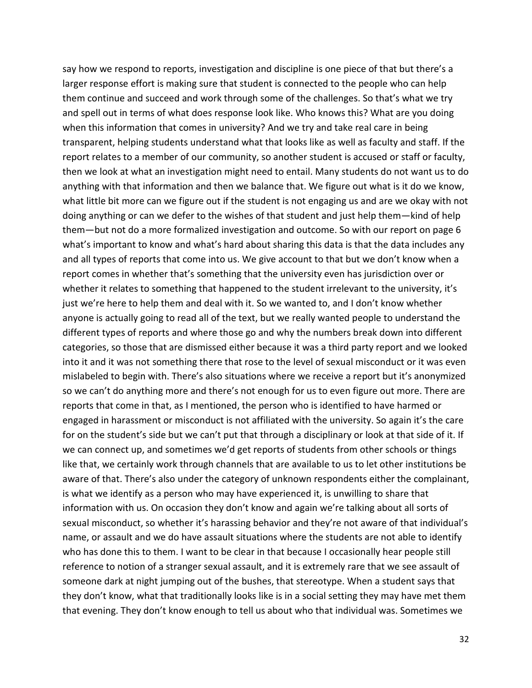say how we respond to reports, investigation and discipline is one piece of that but there's a larger response effort is making sure that student is connected to the people who can help them continue and succeed and work through some of the challenges. So that's what we try and spell out in terms of what does response look like. Who knows this? What are you doing when this information that comes in university? And we try and take real care in being transparent, helping students understand what that looks like as well as faculty and staff. If the report relates to a member of our community, so another student is accused or staff or faculty, then we look at what an investigation might need to entail. Many students do not want us to do anything with that information and then we balance that. We figure out what is it do we know, what little bit more can we figure out if the student is not engaging us and are we okay with not doing anything or can we defer to the wishes of that student and just help them—kind of help them—but not do a more formalized investigation and outcome. So with our report on page 6 what's important to know and what's hard about sharing this data is that the data includes any and all types of reports that come into us. We give account to that but we don't know when a report comes in whether that's something that the university even has jurisdiction over or whether it relates to something that happened to the student irrelevant to the university, it's just we're here to help them and deal with it. So we wanted to, and I don't know whether anyone is actually going to read all of the text, but we really wanted people to understand the different types of reports and where those go and why the numbers break down into different categories, so those that are dismissed either because it was a third party report and we looked into it and it was not something there that rose to the level of sexual misconduct or it was even mislabeled to begin with. There's also situations where we receive a report but it's anonymized so we can't do anything more and there's not enough for us to even figure out more. There are reports that come in that, as I mentioned, the person who is identified to have harmed or engaged in harassment or misconduct is not affiliated with the university. So again it's the care for on the student's side but we can't put that through a disciplinary or look at that side of it. If we can connect up, and sometimes we'd get reports of students from other schools or things like that, we certainly work through channels that are available to us to let other institutions be aware of that. There's also under the category of unknown respondents either the complainant, is what we identify as a person who may have experienced it, is unwilling to share that information with us. On occasion they don't know and again we're talking about all sorts of sexual misconduct, so whether it's harassing behavior and they're not aware of that individual's name, or assault and we do have assault situations where the students are not able to identify who has done this to them. I want to be clear in that because I occasionally hear people still reference to notion of a stranger sexual assault, and it is extremely rare that we see assault of someone dark at night jumping out of the bushes, that stereotype. When a student says that they don't know, what that traditionally looks like is in a social setting they may have met them that evening. They don't know enough to tell us about who that individual was. Sometimes we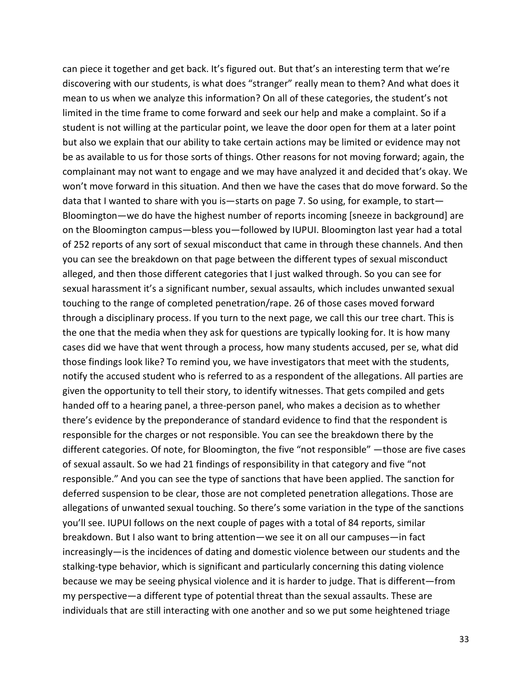can piece it together and get back. It's figured out. But that's an interesting term that we're discovering with our students, is what does "stranger" really mean to them? And what does it mean to us when we analyze this information? On all of these categories, the student's not limited in the time frame to come forward and seek our help and make a complaint. So if a student is not willing at the particular point, we leave the door open for them at a later point but also we explain that our ability to take certain actions may be limited or evidence may not be as available to us for those sorts of things. Other reasons for not moving forward; again, the complainant may not want to engage and we may have analyzed it and decided that's okay. We won't move forward in this situation. And then we have the cases that do move forward. So the data that I wanted to share with you is—starts on page 7. So using, for example, to start— Bloomington—we do have the highest number of reports incoming [sneeze in background] are on the Bloomington campus—bless you—followed by IUPUI. Bloomington last year had a total of 252 reports of any sort of sexual misconduct that came in through these channels. And then you can see the breakdown on that page between the different types of sexual misconduct alleged, and then those different categories that I just walked through. So you can see for sexual harassment it's a significant number, sexual assaults, which includes unwanted sexual touching to the range of completed penetration/rape. 26 of those cases moved forward through a disciplinary process. If you turn to the next page, we call this our tree chart. This is the one that the media when they ask for questions are typically looking for. It is how many cases did we have that went through a process, how many students accused, per se, what did those findings look like? To remind you, we have investigators that meet with the students, notify the accused student who is referred to as a respondent of the allegations. All parties are given the opportunity to tell their story, to identify witnesses. That gets compiled and gets handed off to a hearing panel, a three-person panel, who makes a decision as to whether there's evidence by the preponderance of standard evidence to find that the respondent is responsible for the charges or not responsible. You can see the breakdown there by the different categories. Of note, for Bloomington, the five "not responsible" —those are five cases of sexual assault. So we had 21 findings of responsibility in that category and five "not responsible." And you can see the type of sanctions that have been applied. The sanction for deferred suspension to be clear, those are not completed penetration allegations. Those are allegations of unwanted sexual touching. So there's some variation in the type of the sanctions you'll see. IUPUI follows on the next couple of pages with a total of 84 reports, similar breakdown. But I also want to bring attention—we see it on all our campuses—in fact increasingly—is the incidences of dating and domestic violence between our students and the stalking-type behavior, which is significant and particularly concerning this dating violence because we may be seeing physical violence and it is harder to judge. That is different—from my perspective—a different type of potential threat than the sexual assaults. These are individuals that are still interacting with one another and so we put some heightened triage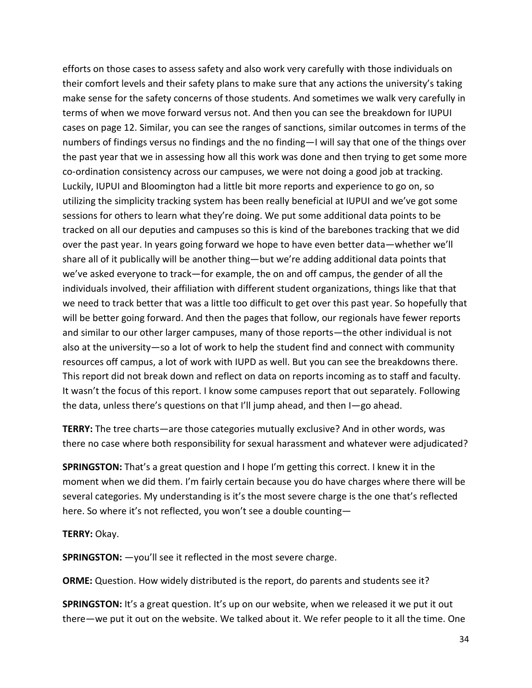efforts on those cases to assess safety and also work very carefully with those individuals on their comfort levels and their safety plans to make sure that any actions the university's taking make sense for the safety concerns of those students. And sometimes we walk very carefully in terms of when we move forward versus not. And then you can see the breakdown for IUPUI cases on page 12. Similar, you can see the ranges of sanctions, similar outcomes in terms of the numbers of findings versus no findings and the no finding—I will say that one of the things over the past year that we in assessing how all this work was done and then trying to get some more co-ordination consistency across our campuses, we were not doing a good job at tracking. Luckily, IUPUI and Bloomington had a little bit more reports and experience to go on, so utilizing the simplicity tracking system has been really beneficial at IUPUI and we've got some sessions for others to learn what they're doing. We put some additional data points to be tracked on all our deputies and campuses so this is kind of the barebones tracking that we did over the past year. In years going forward we hope to have even better data—whether we'll share all of it publically will be another thing—but we're adding additional data points that we've asked everyone to track—for example, the on and off campus, the gender of all the individuals involved, their affiliation with different student organizations, things like that that we need to track better that was a little too difficult to get over this past year. So hopefully that will be better going forward. And then the pages that follow, our regionals have fewer reports and similar to our other larger campuses, many of those reports—the other individual is not also at the university—so a lot of work to help the student find and connect with community resources off campus, a lot of work with IUPD as well. But you can see the breakdowns there. This report did not break down and reflect on data on reports incoming as to staff and faculty. It wasn't the focus of this report. I know some campuses report that out separately. Following the data, unless there's questions on that I'll jump ahead, and then I—go ahead.

**TERRY:** The tree charts—are those categories mutually exclusive? And in other words, was there no case where both responsibility for sexual harassment and whatever were adjudicated?

**SPRINGSTON:** That's a great question and I hope I'm getting this correct. I knew it in the moment when we did them. I'm fairly certain because you do have charges where there will be several categories. My understanding is it's the most severe charge is the one that's reflected here. So where it's not reflected, you won't see a double counting—

**TERRY:** Okay.

**SPRINGSTON:** —you'll see it reflected in the most severe charge.

**ORME:** Question. How widely distributed is the report, do parents and students see it?

**SPRINGSTON:** It's a great question. It's up on our website, when we released it we put it out there—we put it out on the website. We talked about it. We refer people to it all the time. One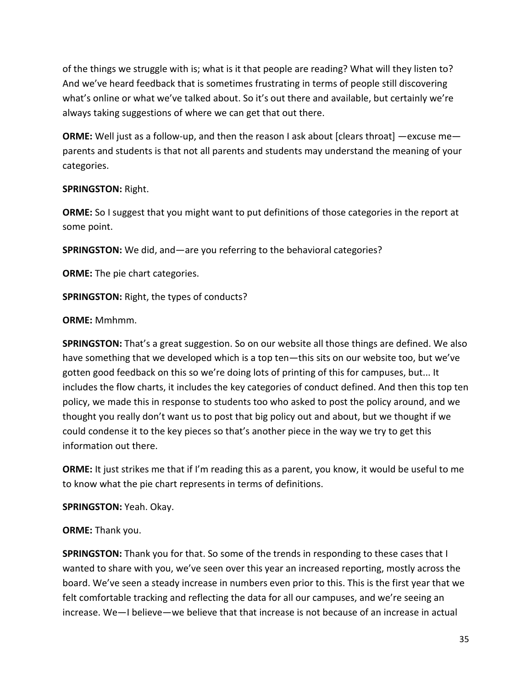of the things we struggle with is; what is it that people are reading? What will they listen to? And we've heard feedback that is sometimes frustrating in terms of people still discovering what's online or what we've talked about. So it's out there and available, but certainly we're always taking suggestions of where we can get that out there.

**ORME:** Well just as a follow-up, and then the reason I ask about [clears throat] —excuse me parents and students is that not all parents and students may understand the meaning of your categories.

### **SPRINGSTON:** Right.

**ORME:** So I suggest that you might want to put definitions of those categories in the report at some point.

**SPRINGSTON:** We did, and—are you referring to the behavioral categories?

**ORME:** The pie chart categories.

**SPRINGSTON:** Right, the types of conducts?

### **ORME:** Mmhmm.

**SPRINGSTON:** That's a great suggestion. So on our website all those things are defined. We also have something that we developed which is a top ten—this sits on our website too, but we've gotten good feedback on this so we're doing lots of printing of this for campuses, but... It includes the flow charts, it includes the key categories of conduct defined. And then this top ten policy, we made this in response to students too who asked to post the policy around, and we thought you really don't want us to post that big policy out and about, but we thought if we could condense it to the key pieces so that's another piece in the way we try to get this information out there.

**ORME:** It just strikes me that if I'm reading this as a parent, you know, it would be useful to me to know what the pie chart represents in terms of definitions.

**SPRINGSTON:** Yeah. Okay.

# **ORME:** Thank you.

**SPRINGSTON:** Thank you for that. So some of the trends in responding to these cases that I wanted to share with you, we've seen over this year an increased reporting, mostly across the board. We've seen a steady increase in numbers even prior to this. This is the first year that we felt comfortable tracking and reflecting the data for all our campuses, and we're seeing an increase. We—I believe—we believe that that increase is not because of an increase in actual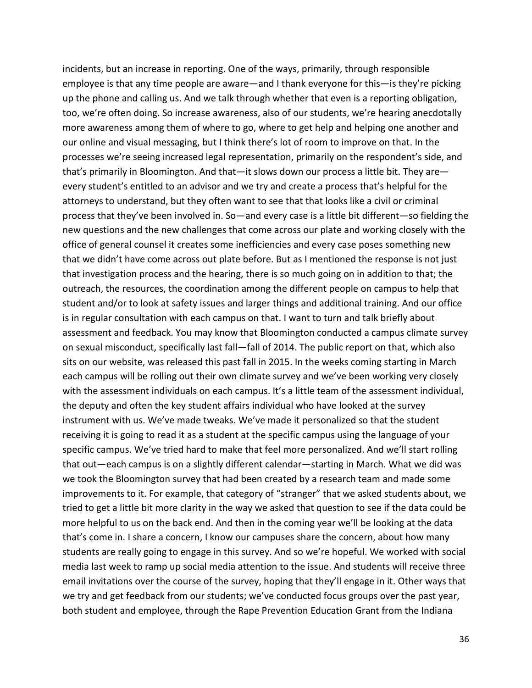incidents, but an increase in reporting. One of the ways, primarily, through responsible employee is that any time people are aware—and I thank everyone for this—is they're picking up the phone and calling us. And we talk through whether that even is a reporting obligation, too, we're often doing. So increase awareness, also of our students, we're hearing anecdotally more awareness among them of where to go, where to get help and helping one another and our online and visual messaging, but I think there's lot of room to improve on that. In the processes we're seeing increased legal representation, primarily on the respondent's side, and that's primarily in Bloomington. And that—it slows down our process a little bit. They are every student's entitled to an advisor and we try and create a process that's helpful for the attorneys to understand, but they often want to see that that looks like a civil or criminal process that they've been involved in. So—and every case is a little bit different—so fielding the new questions and the new challenges that come across our plate and working closely with the office of general counsel it creates some inefficiencies and every case poses something new that we didn't have come across out plate before. But as I mentioned the response is not just that investigation process and the hearing, there is so much going on in addition to that; the outreach, the resources, the coordination among the different people on campus to help that student and/or to look at safety issues and larger things and additional training. And our office is in regular consultation with each campus on that. I want to turn and talk briefly about assessment and feedback. You may know that Bloomington conducted a campus climate survey on sexual misconduct, specifically last fall—fall of 2014. The public report on that, which also sits on our website, was released this past fall in 2015. In the weeks coming starting in March each campus will be rolling out their own climate survey and we've been working very closely with the assessment individuals on each campus. It's a little team of the assessment individual, the deputy and often the key student affairs individual who have looked at the survey instrument with us. We've made tweaks. We've made it personalized so that the student receiving it is going to read it as a student at the specific campus using the language of your specific campus. We've tried hard to make that feel more personalized. And we'll start rolling that out—each campus is on a slightly different calendar—starting in March. What we did was we took the Bloomington survey that had been created by a research team and made some improvements to it. For example, that category of "stranger" that we asked students about, we tried to get a little bit more clarity in the way we asked that question to see if the data could be more helpful to us on the back end. And then in the coming year we'll be looking at the data that's come in. I share a concern, I know our campuses share the concern, about how many students are really going to engage in this survey. And so we're hopeful. We worked with social media last week to ramp up social media attention to the issue. And students will receive three email invitations over the course of the survey, hoping that they'll engage in it. Other ways that we try and get feedback from our students; we've conducted focus groups over the past year, both student and employee, through the Rape Prevention Education Grant from the Indiana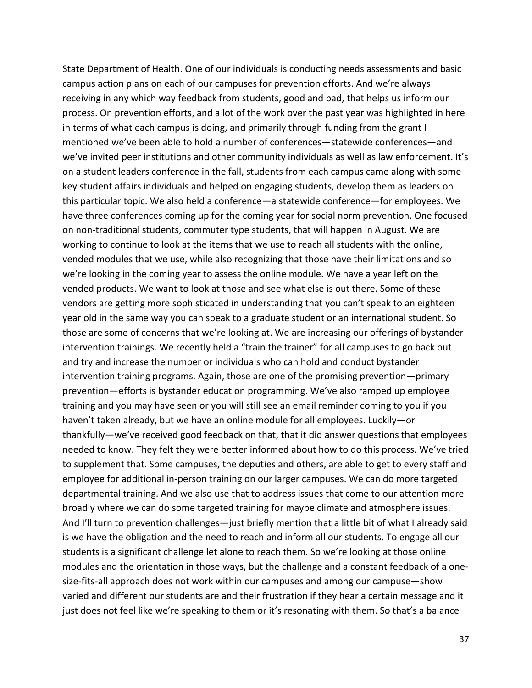State Department of Health. One of our individuals is conducting needs assessments and basic campus action plans on each of our campuses for prevention efforts. And we're always receiving in any which way feedback from students, good and bad, that helps us inform our process. On prevention efforts, and a lot of the work over the past year was highlighted in here in terms of what each campus is doing, and primarily through funding from the grant I mentioned we've been able to hold a number of conferences—statewide conferences—and we've invited peer institutions and other community individuals as well as law enforcement. It's on a student leaders conference in the fall, students from each campus came along with some key student affairs individuals and helped on engaging students, develop them as leaders on this particular topic. We also held a conference—a statewide conference—for employees. We have three conferences coming up for the coming year for social norm prevention. One focused on non-traditional students, commuter type students, that will happen in August. We are working to continue to look at the items that we use to reach all students with the online, vended modules that we use, while also recognizing that those have their limitations and so we're looking in the coming year to assess the online module. We have a year left on the vended products. We want to look at those and see what else is out there. Some of these vendors are getting more sophisticated in understanding that you can't speak to an eighteen year old in the same way you can speak to a graduate student or an international student. So those are some of concerns that we're looking at. We are increasing our offerings of bystander intervention trainings. We recently held a "train the trainer" for all campuses to go back out and try and increase the number or individuals who can hold and conduct bystander intervention training programs. Again, those are one of the promising prevention—primary prevention—efforts is bystander education programming. We've also ramped up employee training and you may have seen or you will still see an email reminder coming to you if you haven't taken already, but we have an online module for all employees. Luckily—or thankfully—we've received good feedback on that, that it did answer questions that employees needed to know. They felt they were better informed about how to do this process. We've tried to supplement that. Some campuses, the deputies and others, are able to get to every staff and employee for additional in-person training on our larger campuses. We can do more targeted departmental training. And we also use that to address issues that come to our attention more broadly where we can do some targeted training for maybe climate and atmosphere issues. And I'll turn to prevention challenges—just briefly mention that a little bit of what I already said is we have the obligation and the need to reach and inform all our students. To engage all our students is a significant challenge let alone to reach them. So we're looking at those online modules and the orientation in those ways, but the challenge and a constant feedback of a onesize-fits-all approach does not work within our campuses and among our campuse—show varied and different our students are and their frustration if they hear a certain message and it just does not feel like we're speaking to them or it's resonating with them. So that's a balance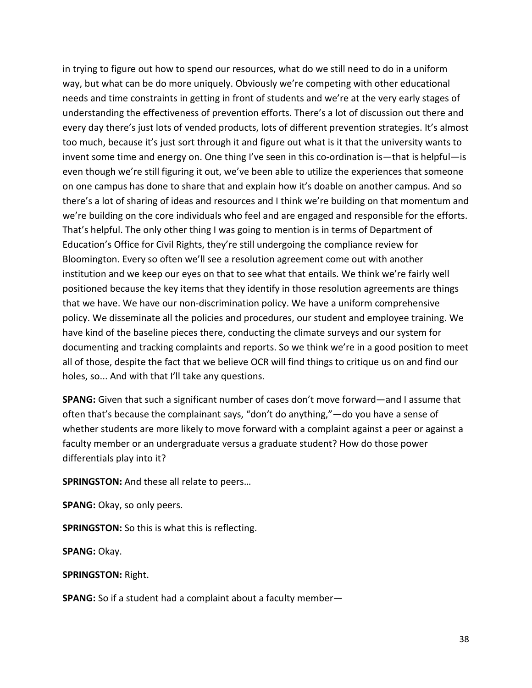in trying to figure out how to spend our resources, what do we still need to do in a uniform way, but what can be do more uniquely. Obviously we're competing with other educational needs and time constraints in getting in front of students and we're at the very early stages of understanding the effectiveness of prevention efforts. There's a lot of discussion out there and every day there's just lots of vended products, lots of different prevention strategies. It's almost too much, because it's just sort through it and figure out what is it that the university wants to invent some time and energy on. One thing I've seen in this co-ordination is—that is helpful—is even though we're still figuring it out, we've been able to utilize the experiences that someone on one campus has done to share that and explain how it's doable on another campus. And so there's a lot of sharing of ideas and resources and I think we're building on that momentum and we're building on the core individuals who feel and are engaged and responsible for the efforts. That's helpful. The only other thing I was going to mention is in terms of Department of Education's Office for Civil Rights, they're still undergoing the compliance review for Bloomington. Every so often we'll see a resolution agreement come out with another institution and we keep our eyes on that to see what that entails. We think we're fairly well positioned because the key items that they identify in those resolution agreements are things that we have. We have our non-discrimination policy. We have a uniform comprehensive policy. We disseminate all the policies and procedures, our student and employee training. We have kind of the baseline pieces there, conducting the climate surveys and our system for documenting and tracking complaints and reports. So we think we're in a good position to meet all of those, despite the fact that we believe OCR will find things to critique us on and find our holes, so... And with that I'll take any questions.

**SPANG:** Given that such a significant number of cases don't move forward—and I assume that often that's because the complainant says, "don't do anything,"—do you have a sense of whether students are more likely to move forward with a complaint against a peer or against a faculty member or an undergraduate versus a graduate student? How do those power differentials play into it?

**SPRINGSTON:** And these all relate to peers…

**SPANG:** Okay, so only peers.

**SPRINGSTON:** So this is what this is reflecting.

**SPANG:** Okay.

**SPRINGSTON:** Right.

**SPANG:** So if a student had a complaint about a faculty member—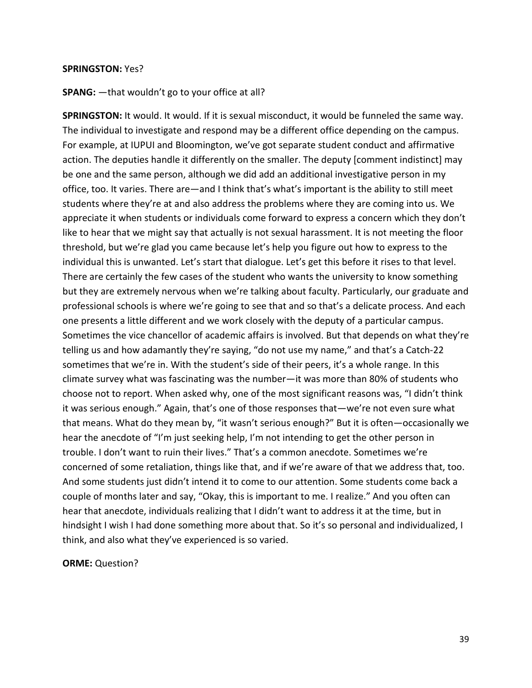#### **SPRINGSTON:** Yes?

#### **SPANG:** —that wouldn't go to your office at all?

**SPRINGSTON:** It would. It would. If it is sexual misconduct, it would be funneled the same way. The individual to investigate and respond may be a different office depending on the campus. For example, at IUPUI and Bloomington, we've got separate student conduct and affirmative action. The deputies handle it differently on the smaller. The deputy [comment indistinct] may be one and the same person, although we did add an additional investigative person in my office, too. It varies. There are—and I think that's what's important is the ability to still meet students where they're at and also address the problems where they are coming into us. We appreciate it when students or individuals come forward to express a concern which they don't like to hear that we might say that actually is not sexual harassment. It is not meeting the floor threshold, but we're glad you came because let's help you figure out how to express to the individual this is unwanted. Let's start that dialogue. Let's get this before it rises to that level. There are certainly the few cases of the student who wants the university to know something but they are extremely nervous when we're talking about faculty. Particularly, our graduate and professional schools is where we're going to see that and so that's a delicate process. And each one presents a little different and we work closely with the deputy of a particular campus. Sometimes the vice chancellor of academic affairs is involved. But that depends on what they're telling us and how adamantly they're saying, "do not use my name," and that's a Catch-22 sometimes that we're in. With the student's side of their peers, it's a whole range. In this climate survey what was fascinating was the number—it was more than 80% of students who choose not to report. When asked why, one of the most significant reasons was, "I didn't think it was serious enough." Again, that's one of those responses that—we're not even sure what that means. What do they mean by, "it wasn't serious enough?" But it is often—occasionally we hear the anecdote of "I'm just seeking help, I'm not intending to get the other person in trouble. I don't want to ruin their lives." That's a common anecdote. Sometimes we're concerned of some retaliation, things like that, and if we're aware of that we address that, too. And some students just didn't intend it to come to our attention. Some students come back a couple of months later and say, "Okay, this is important to me. I realize." And you often can hear that anecdote, individuals realizing that I didn't want to address it at the time, but in hindsight I wish I had done something more about that. So it's so personal and individualized, I think, and also what they've experienced is so varied.

**ORME:** Question?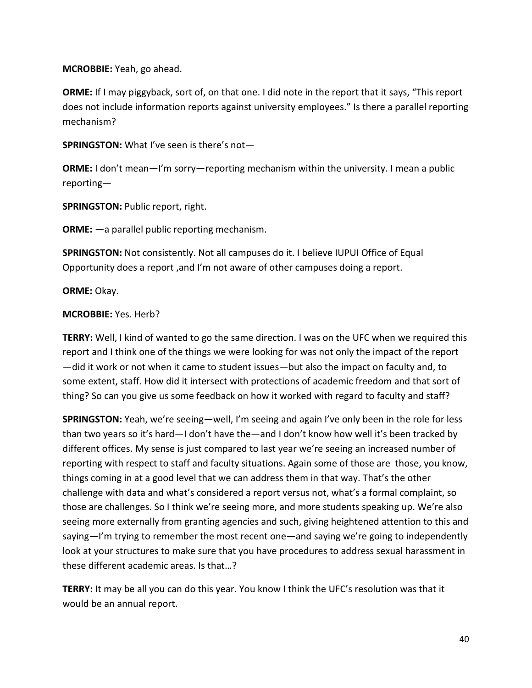**MCROBBIE:** Yeah, go ahead.

**ORME:** If I may piggyback, sort of, on that one. I did note in the report that it says, "This report does not include information reports against university employees." Is there a parallel reporting mechanism?

**SPRINGSTON:** What I've seen is there's not—

**ORME:** I don't mean—I'm sorry—reporting mechanism within the university. I mean a public reporting—

**SPRINGSTON:** Public report, right.

**ORME:** —a parallel public reporting mechanism.

**SPRINGSTON:** Not consistently. Not all campuses do it. I believe IUPUI Office of Equal Opportunity does a report ,and I'm not aware of other campuses doing a report.

**ORME:** Okay.

### **MCROBBIE:** Yes. Herb?

**TERRY:** Well, I kind of wanted to go the same direction. I was on the UFC when we required this report and I think one of the things we were looking for was not only the impact of the report —did it work or not when it came to student issues—but also the impact on faculty and, to some extent, staff. How did it intersect with protections of academic freedom and that sort of thing? So can you give us some feedback on how it worked with regard to faculty and staff?

**SPRINGSTON:** Yeah, we're seeing—well, I'm seeing and again I've only been in the role for less than two years so it's hard—I don't have the—and I don't know how well it's been tracked by different offices. My sense is just compared to last year we're seeing an increased number of reporting with respect to staff and faculty situations. Again some of those are those, you know, things coming in at a good level that we can address them in that way. That's the other challenge with data and what's considered a report versus not, what's a formal complaint, so those are challenges. So I think we're seeing more, and more students speaking up. We're also seeing more externally from granting agencies and such, giving heightened attention to this and saying—I'm trying to remember the most recent one—and saying we're going to independently look at your structures to make sure that you have procedures to address sexual harassment in these different academic areas. Is that…?

**TERRY:** It may be all you can do this year. You know I think the UFC's resolution was that it would be an annual report.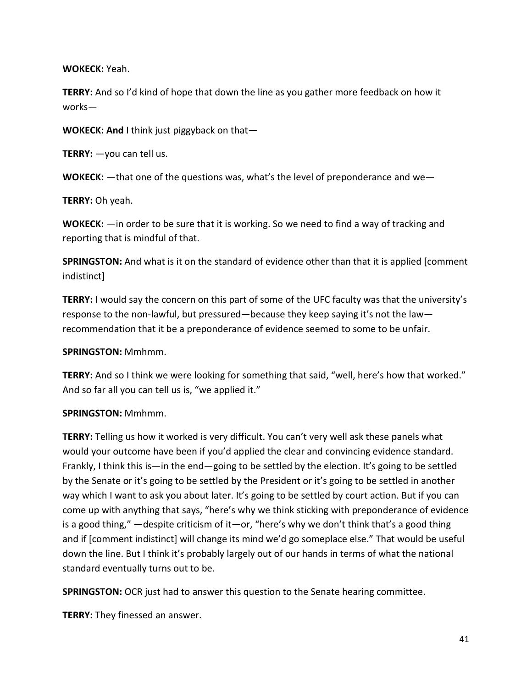**WOKECK:** Yeah.

**TERRY:** And so I'd kind of hope that down the line as you gather more feedback on how it works—

**WOKECK: And** I think just piggyback on that—

**TERRY:** —you can tell us.

**WOKECK:** —that one of the questions was, what's the level of preponderance and we—

**TERRY:** Oh yeah.

**WOKECK:** —in order to be sure that it is working. So we need to find a way of tracking and reporting that is mindful of that.

**SPRINGSTON:** And what is it on the standard of evidence other than that it is applied [comment indistinct]

**TERRY:** I would say the concern on this part of some of the UFC faculty was that the university's response to the non-lawful, but pressured—because they keep saying it's not the law recommendation that it be a preponderance of evidence seemed to some to be unfair.

### **SPRINGSTON:** Mmhmm.

**TERRY:** And so I think we were looking for something that said, "well, here's how that worked." And so far all you can tell us is, "we applied it."

# **SPRINGSTON:** Mmhmm.

**TERRY:** Telling us how it worked is very difficult. You can't very well ask these panels what would your outcome have been if you'd applied the clear and convincing evidence standard. Frankly, I think this is—in the end—going to be settled by the election. It's going to be settled by the Senate or it's going to be settled by the President or it's going to be settled in another way which I want to ask you about later. It's going to be settled by court action. But if you can come up with anything that says, "here's why we think sticking with preponderance of evidence is a good thing," —despite criticism of it—or, "here's why we don't think that's a good thing and if [comment indistinct] will change its mind we'd go someplace else." That would be useful down the line. But I think it's probably largely out of our hands in terms of what the national standard eventually turns out to be.

**SPRINGSTON:** OCR just had to answer this question to the Senate hearing committee.

**TERRY:** They finessed an answer.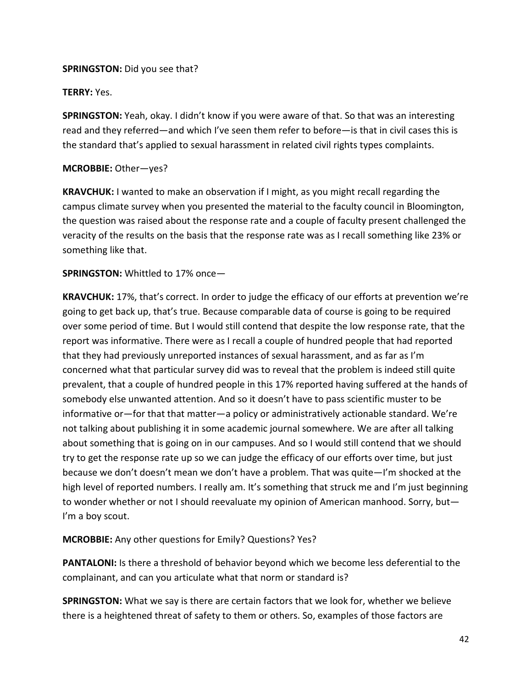### **SPRINGSTON:** Did you see that?

### **TERRY:** Yes.

**SPRINGSTON:** Yeah, okay. I didn't know if you were aware of that. So that was an interesting read and they referred—and which I've seen them refer to before—is that in civil cases this is the standard that's applied to sexual harassment in related civil rights types complaints.

### **MCROBBIE:** Other—yes?

**KRAVCHUK:** I wanted to make an observation if I might, as you might recall regarding the campus climate survey when you presented the material to the faculty council in Bloomington, the question was raised about the response rate and a couple of faculty present challenged the veracity of the results on the basis that the response rate was as I recall something like 23% or something like that.

### **SPRINGSTON:** Whittled to 17% once—

**KRAVCHUK:** 17%, that's correct. In order to judge the efficacy of our efforts at prevention we're going to get back up, that's true. Because comparable data of course is going to be required over some period of time. But I would still contend that despite the low response rate, that the report was informative. There were as I recall a couple of hundred people that had reported that they had previously unreported instances of sexual harassment, and as far as I'm concerned what that particular survey did was to reveal that the problem is indeed still quite prevalent, that a couple of hundred people in this 17% reported having suffered at the hands of somebody else unwanted attention. And so it doesn't have to pass scientific muster to be informative or—for that that matter—a policy or administratively actionable standard. We're not talking about publishing it in some academic journal somewhere. We are after all talking about something that is going on in our campuses. And so I would still contend that we should try to get the response rate up so we can judge the efficacy of our efforts over time, but just because we don't doesn't mean we don't have a problem. That was quite—I'm shocked at the high level of reported numbers. I really am. It's something that struck me and I'm just beginning to wonder whether or not I should reevaluate my opinion of American manhood. Sorry, but— I'm a boy scout.

# **MCROBBIE:** Any other questions for Emily? Questions? Yes?

**PANTALONI:** Is there a threshold of behavior beyond which we become less deferential to the complainant, and can you articulate what that norm or standard is?

**SPRINGSTON:** What we say is there are certain factors that we look for, whether we believe there is a heightened threat of safety to them or others. So, examples of those factors are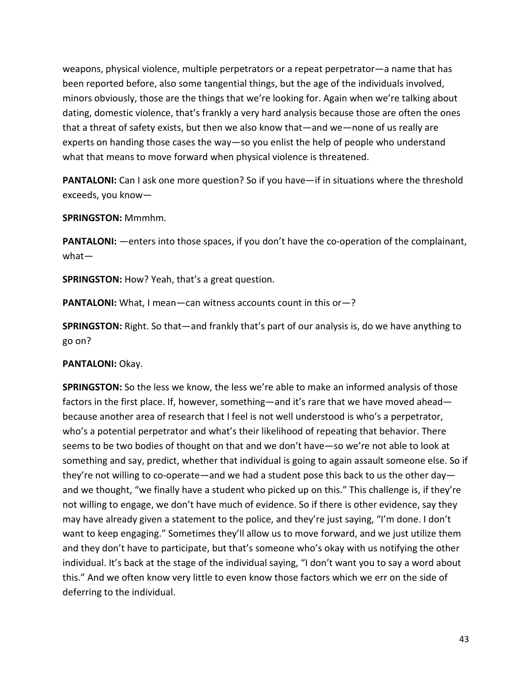weapons, physical violence, multiple perpetrators or a repeat perpetrator—a name that has been reported before, also some tangential things, but the age of the individuals involved, minors obviously, those are the things that we're looking for. Again when we're talking about dating, domestic violence, that's frankly a very hard analysis because those are often the ones that a threat of safety exists, but then we also know that—and we—none of us really are experts on handing those cases the way—so you enlist the help of people who understand what that means to move forward when physical violence is threatened.

**PANTALONI:** Can I ask one more question? So if you have—if in situations where the threshold exceeds, you know—

**SPRINGSTON:** Mmmhm.

**PANTALONI:** —enters into those spaces, if you don't have the co-operation of the complainant, what—

**SPRINGSTON:** How? Yeah, that's a great question.

**PANTALONI:** What, I mean—can witness accounts count in this or-?

**SPRINGSTON:** Right. So that—and frankly that's part of our analysis is, do we have anything to go on?

PANTALONI: Okay.

**SPRINGSTON:** So the less we know, the less we're able to make an informed analysis of those factors in the first place. If, however, something—and it's rare that we have moved ahead because another area of research that I feel is not well understood is who's a perpetrator, who's a potential perpetrator and what's their likelihood of repeating that behavior. There seems to be two bodies of thought on that and we don't have—so we're not able to look at something and say, predict, whether that individual is going to again assault someone else. So if they're not willing to co-operate—and we had a student pose this back to us the other day and we thought, "we finally have a student who picked up on this." This challenge is, if they're not willing to engage, we don't have much of evidence. So if there is other evidence, say they may have already given a statement to the police, and they're just saying, "I'm done. I don't want to keep engaging." Sometimes they'll allow us to move forward, and we just utilize them and they don't have to participate, but that's someone who's okay with us notifying the other individual. It's back at the stage of the individual saying, "I don't want you to say a word about this." And we often know very little to even know those factors which we err on the side of deferring to the individual.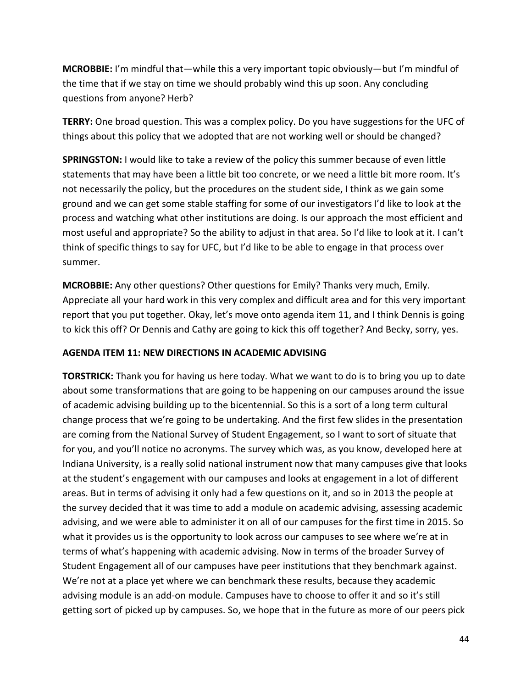**MCROBBIE:** I'm mindful that—while this a very important topic obviously—but I'm mindful of the time that if we stay on time we should probably wind this up soon. Any concluding questions from anyone? Herb?

**TERRY:** One broad question. This was a complex policy. Do you have suggestions for the UFC of things about this policy that we adopted that are not working well or should be changed?

**SPRINGSTON:** I would like to take a review of the policy this summer because of even little statements that may have been a little bit too concrete, or we need a little bit more room. It's not necessarily the policy, but the procedures on the student side, I think as we gain some ground and we can get some stable staffing for some of our investigators I'd like to look at the process and watching what other institutions are doing. Is our approach the most efficient and most useful and appropriate? So the ability to adjust in that area. So I'd like to look at it. I can't think of specific things to say for UFC, but I'd like to be able to engage in that process over summer.

**MCROBBIE:** Any other questions? Other questions for Emily? Thanks very much, Emily. Appreciate all your hard work in this very complex and difficult area and for this very important report that you put together. Okay, let's move onto agenda item 11, and I think Dennis is going to kick this off? Or Dennis and Cathy are going to kick this off together? And Becky, sorry, yes.

# **AGENDA ITEM 11: NEW DIRECTIONS IN ACADEMIC ADVISING**

**TORSTRICK:** Thank you for having us here today. What we want to do is to bring you up to date about some transformations that are going to be happening on our campuses around the issue of academic advising building up to the bicentennial. So this is a sort of a long term cultural change process that we're going to be undertaking. And the first few slides in the presentation are coming from the National Survey of Student Engagement, so I want to sort of situate that for you, and you'll notice no acronyms. The survey which was, as you know, developed here at Indiana University, is a really solid national instrument now that many campuses give that looks at the student's engagement with our campuses and looks at engagement in a lot of different areas. But in terms of advising it only had a few questions on it, and so in 2013 the people at the survey decided that it was time to add a module on academic advising, assessing academic advising, and we were able to administer it on all of our campuses for the first time in 2015. So what it provides us is the opportunity to look across our campuses to see where we're at in terms of what's happening with academic advising. Now in terms of the broader Survey of Student Engagement all of our campuses have peer institutions that they benchmark against. We're not at a place yet where we can benchmark these results, because they academic advising module is an add-on module. Campuses have to choose to offer it and so it's still getting sort of picked up by campuses. So, we hope that in the future as more of our peers pick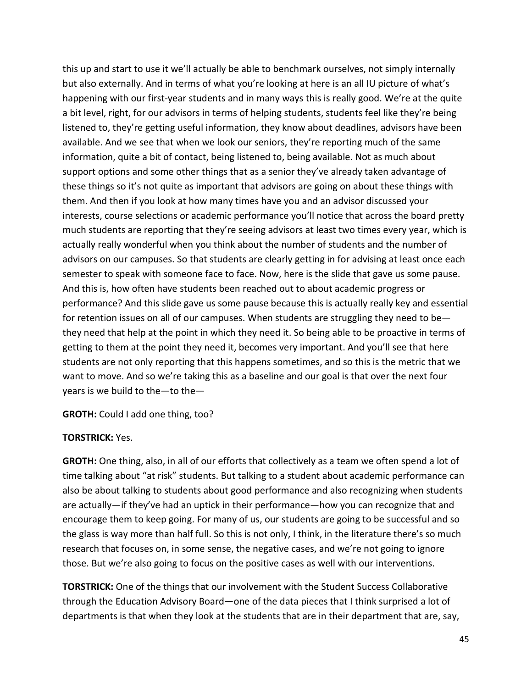this up and start to use it we'll actually be able to benchmark ourselves, not simply internally but also externally. And in terms of what you're looking at here is an all IU picture of what's happening with our first-year students and in many ways this is really good. We're at the quite a bit level, right, for our advisors in terms of helping students, students feel like they're being listened to, they're getting useful information, they know about deadlines, advisors have been available. And we see that when we look our seniors, they're reporting much of the same information, quite a bit of contact, being listened to, being available. Not as much about support options and some other things that as a senior they've already taken advantage of these things so it's not quite as important that advisors are going on about these things with them. And then if you look at how many times have you and an advisor discussed your interests, course selections or academic performance you'll notice that across the board pretty much students are reporting that they're seeing advisors at least two times every year, which is actually really wonderful when you think about the number of students and the number of advisors on our campuses. So that students are clearly getting in for advising at least once each semester to speak with someone face to face. Now, here is the slide that gave us some pause. And this is, how often have students been reached out to about academic progress or performance? And this slide gave us some pause because this is actually really key and essential for retention issues on all of our campuses. When students are struggling they need to be they need that help at the point in which they need it. So being able to be proactive in terms of getting to them at the point they need it, becomes very important. And you'll see that here students are not only reporting that this happens sometimes, and so this is the metric that we want to move. And so we're taking this as a baseline and our goal is that over the next four years is we build to the—to the—

**GROTH:** Could I add one thing, too?

### **TORSTRICK:** Yes.

**GROTH:** One thing, also, in all of our efforts that collectively as a team we often spend a lot of time talking about "at risk" students. But talking to a student about academic performance can also be about talking to students about good performance and also recognizing when students are actually—if they've had an uptick in their performance—how you can recognize that and encourage them to keep going. For many of us, our students are going to be successful and so the glass is way more than half full. So this is not only, I think, in the literature there's so much research that focuses on, in some sense, the negative cases, and we're not going to ignore those. But we're also going to focus on the positive cases as well with our interventions.

**TORSTRICK:** One of the things that our involvement with the Student Success Collaborative through the Education Advisory Board—one of the data pieces that I think surprised a lot of departments is that when they look at the students that are in their department that are, say,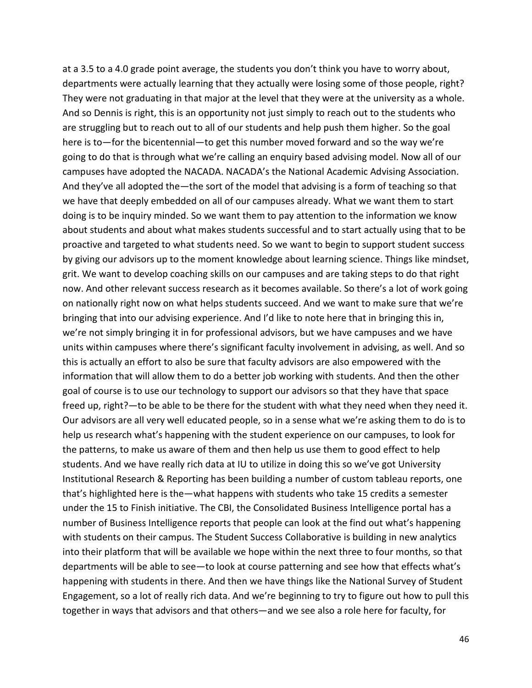at a 3.5 to a 4.0 grade point average, the students you don't think you have to worry about, departments were actually learning that they actually were losing some of those people, right? They were not graduating in that major at the level that they were at the university as a whole. And so Dennis is right, this is an opportunity not just simply to reach out to the students who are struggling but to reach out to all of our students and help push them higher. So the goal here is to—for the bicentennial—to get this number moved forward and so the way we're going to do that is through what we're calling an enquiry based advising model. Now all of our campuses have adopted the NACADA. NACADA's the National Academic Advising Association. And they've all adopted the—the sort of the model that advising is a form of teaching so that we have that deeply embedded on all of our campuses already. What we want them to start doing is to be inquiry minded. So we want them to pay attention to the information we know about students and about what makes students successful and to start actually using that to be proactive and targeted to what students need. So we want to begin to support student success by giving our advisors up to the moment knowledge about learning science. Things like mindset, grit. We want to develop coaching skills on our campuses and are taking steps to do that right now. And other relevant success research as it becomes available. So there's a lot of work going on nationally right now on what helps students succeed. And we want to make sure that we're bringing that into our advising experience. And I'd like to note here that in bringing this in, we're not simply bringing it in for professional advisors, but we have campuses and we have units within campuses where there's significant faculty involvement in advising, as well. And so this is actually an effort to also be sure that faculty advisors are also empowered with the information that will allow them to do a better job working with students. And then the other goal of course is to use our technology to support our advisors so that they have that space freed up, right?—to be able to be there for the student with what they need when they need it. Our advisors are all very well educated people, so in a sense what we're asking them to do is to help us research what's happening with the student experience on our campuses, to look for the patterns, to make us aware of them and then help us use them to good effect to help students. And we have really rich data at IU to utilize in doing this so we've got University Institutional Research & Reporting has been building a number of custom tableau reports, one that's highlighted here is the—what happens with students who take 15 credits a semester under the 15 to Finish initiative. The CBI, the Consolidated Business Intelligence portal has a number of Business Intelligence reports that people can look at the find out what's happening with students on their campus. The Student Success Collaborative is building in new analytics into their platform that will be available we hope within the next three to four months, so that departments will be able to see—to look at course patterning and see how that effects what's happening with students in there. And then we have things like the National Survey of Student Engagement, so a lot of really rich data. And we're beginning to try to figure out how to pull this together in ways that advisors and that others—and we see also a role here for faculty, for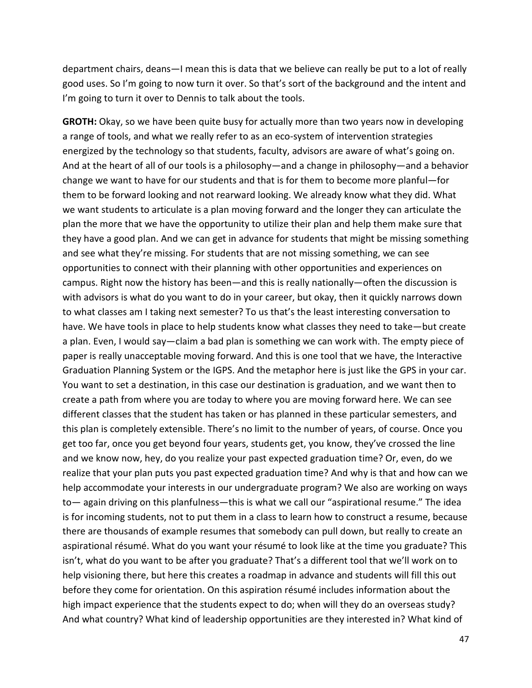department chairs, deans—I mean this is data that we believe can really be put to a lot of really good uses. So I'm going to now turn it over. So that's sort of the background and the intent and I'm going to turn it over to Dennis to talk about the tools.

**GROTH:** Okay, so we have been quite busy for actually more than two years now in developing a range of tools, and what we really refer to as an eco-system of intervention strategies energized by the technology so that students, faculty, advisors are aware of what's going on. And at the heart of all of our tools is a philosophy—and a change in philosophy—and a behavior change we want to have for our students and that is for them to become more planful—for them to be forward looking and not rearward looking. We already know what they did. What we want students to articulate is a plan moving forward and the longer they can articulate the plan the more that we have the opportunity to utilize their plan and help them make sure that they have a good plan. And we can get in advance for students that might be missing something and see what they're missing. For students that are not missing something, we can see opportunities to connect with their planning with other opportunities and experiences on campus. Right now the history has been—and this is really nationally—often the discussion is with advisors is what do you want to do in your career, but okay, then it quickly narrows down to what classes am I taking next semester? To us that's the least interesting conversation to have. We have tools in place to help students know what classes they need to take—but create a plan. Even, I would say—claim a bad plan is something we can work with. The empty piece of paper is really unacceptable moving forward. And this is one tool that we have, the Interactive Graduation Planning System or the IGPS. And the metaphor here is just like the GPS in your car. You want to set a destination, in this case our destination is graduation, and we want then to create a path from where you are today to where you are moving forward here. We can see different classes that the student has taken or has planned in these particular semesters, and this plan is completely extensible. There's no limit to the number of years, of course. Once you get too far, once you get beyond four years, students get, you know, they've crossed the line and we know now, hey, do you realize your past expected graduation time? Or, even, do we realize that your plan puts you past expected graduation time? And why is that and how can we help accommodate your interests in our undergraduate program? We also are working on ways to— again driving on this planfulness—this is what we call our "aspirational resume." The idea is for incoming students, not to put them in a class to learn how to construct a resume, because there are thousands of example resumes that somebody can pull down, but really to create an aspirational résumé. What do you want your résumé to look like at the time you graduate? This isn't, what do you want to be after you graduate? That's a different tool that we'll work on to help visioning there, but here this creates a roadmap in advance and students will fill this out before they come for orientation. On this aspiration résumé includes information about the high impact experience that the students expect to do; when will they do an overseas study? And what country? What kind of leadership opportunities are they interested in? What kind of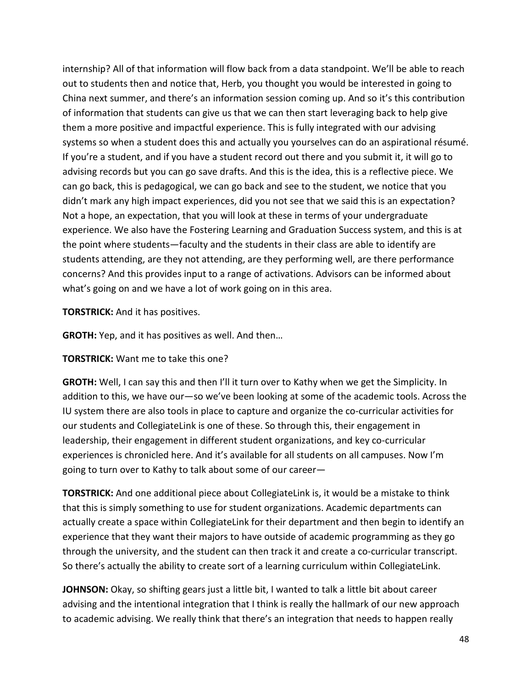internship? All of that information will flow back from a data standpoint. We'll be able to reach out to students then and notice that, Herb, you thought you would be interested in going to China next summer, and there's an information session coming up. And so it's this contribution of information that students can give us that we can then start leveraging back to help give them a more positive and impactful experience. This is fully integrated with our advising systems so when a student does this and actually you yourselves can do an aspirational résumé. If you're a student, and if you have a student record out there and you submit it, it will go to advising records but you can go save drafts. And this is the idea, this is a reflective piece. We can go back, this is pedagogical, we can go back and see to the student, we notice that you didn't mark any high impact experiences, did you not see that we said this is an expectation? Not a hope, an expectation, that you will look at these in terms of your undergraduate experience. We also have the Fostering Learning and Graduation Success system, and this is at the point where students—faculty and the students in their class are able to identify are students attending, are they not attending, are they performing well, are there performance concerns? And this provides input to a range of activations. Advisors can be informed about what's going on and we have a lot of work going on in this area.

**TORSTRICK:** And it has positives.

**GROTH:** Yep, and it has positives as well. And then…

**TORSTRICK:** Want me to take this one?

**GROTH:** Well, I can say this and then I'll it turn over to Kathy when we get the Simplicity. In addition to this, we have our—so we've been looking at some of the academic tools. Across the IU system there are also tools in place to capture and organize the co-curricular activities for our students and CollegiateLink is one of these. So through this, their engagement in leadership, their engagement in different student organizations, and key co-curricular experiences is chronicled here. And it's available for all students on all campuses. Now I'm going to turn over to Kathy to talk about some of our career—

**TORSTRICK:** And one additional piece about CollegiateLink is, it would be a mistake to think that this is simply something to use for student organizations. Academic departments can actually create a space within CollegiateLink for their department and then begin to identify an experience that they want their majors to have outside of academic programming as they go through the university, and the student can then track it and create a co-curricular transcript. So there's actually the ability to create sort of a learning curriculum within CollegiateLink.

**JOHNSON:** Okay, so shifting gears just a little bit, I wanted to talk a little bit about career advising and the intentional integration that I think is really the hallmark of our new approach to academic advising. We really think that there's an integration that needs to happen really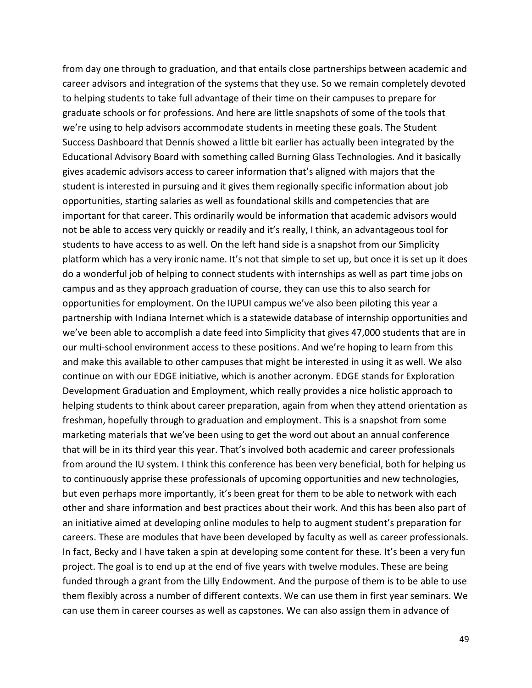from day one through to graduation, and that entails close partnerships between academic and career advisors and integration of the systems that they use. So we remain completely devoted to helping students to take full advantage of their time on their campuses to prepare for graduate schools or for professions. And here are little snapshots of some of the tools that we're using to help advisors accommodate students in meeting these goals. The Student Success Dashboard that Dennis showed a little bit earlier has actually been integrated by the Educational Advisory Board with something called Burning Glass Technologies. And it basically gives academic advisors access to career information that's aligned with majors that the student is interested in pursuing and it gives them regionally specific information about job opportunities, starting salaries as well as foundational skills and competencies that are important for that career. This ordinarily would be information that academic advisors would not be able to access very quickly or readily and it's really, I think, an advantageous tool for students to have access to as well. On the left hand side is a snapshot from our Simplicity platform which has a very ironic name. It's not that simple to set up, but once it is set up it does do a wonderful job of helping to connect students with internships as well as part time jobs on campus and as they approach graduation of course, they can use this to also search for opportunities for employment. On the IUPUI campus we've also been piloting this year a partnership with Indiana Internet which is a statewide database of internship opportunities and we've been able to accomplish a date feed into Simplicity that gives 47,000 students that are in our multi-school environment access to these positions. And we're hoping to learn from this and make this available to other campuses that might be interested in using it as well. We also continue on with our EDGE initiative, which is another acronym. EDGE stands for Exploration Development Graduation and Employment, which really provides a nice holistic approach to helping students to think about career preparation, again from when they attend orientation as freshman, hopefully through to graduation and employment. This is a snapshot from some marketing materials that we've been using to get the word out about an annual conference that will be in its third year this year. That's involved both academic and career professionals from around the IU system. I think this conference has been very beneficial, both for helping us to continuously apprise these professionals of upcoming opportunities and new technologies, but even perhaps more importantly, it's been great for them to be able to network with each other and share information and best practices about their work. And this has been also part of an initiative aimed at developing online modules to help to augment student's preparation for careers. These are modules that have been developed by faculty as well as career professionals. In fact, Becky and I have taken a spin at developing some content for these. It's been a very fun project. The goal is to end up at the end of five years with twelve modules. These are being funded through a grant from the Lilly Endowment. And the purpose of them is to be able to use them flexibly across a number of different contexts. We can use them in first year seminars. We can use them in career courses as well as capstones. We can also assign them in advance of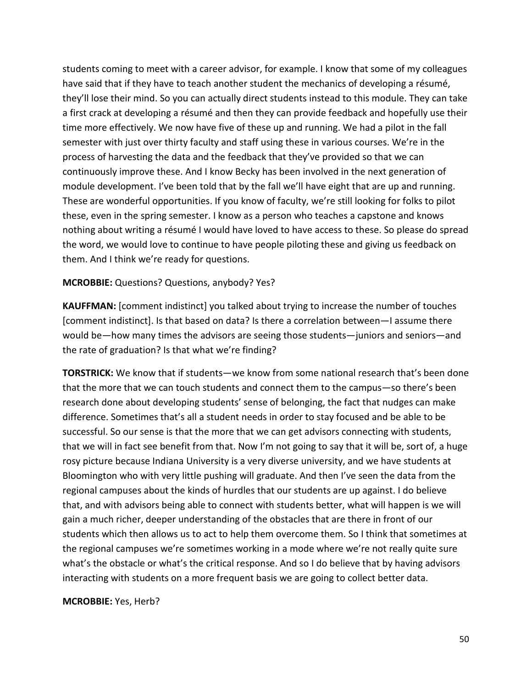students coming to meet with a career advisor, for example. I know that some of my colleagues have said that if they have to teach another student the mechanics of developing a résumé, they'll lose their mind. So you can actually direct students instead to this module. They can take a first crack at developing a résumé and then they can provide feedback and hopefully use their time more effectively. We now have five of these up and running. We had a pilot in the fall semester with just over thirty faculty and staff using these in various courses. We're in the process of harvesting the data and the feedback that they've provided so that we can continuously improve these. And I know Becky has been involved in the next generation of module development. I've been told that by the fall we'll have eight that are up and running. These are wonderful opportunities. If you know of faculty, we're still looking for folks to pilot these, even in the spring semester. I know as a person who teaches a capstone and knows nothing about writing a résumé I would have loved to have access to these. So please do spread the word, we would love to continue to have people piloting these and giving us feedback on them. And I think we're ready for questions.

#### **MCROBBIE:** Questions? Questions, anybody? Yes?

**KAUFFMAN:** [comment indistinct] you talked about trying to increase the number of touches [comment indistinct]. Is that based on data? Is there a correlation between—I assume there would be—how many times the advisors are seeing those students—juniors and seniors—and the rate of graduation? Is that what we're finding?

**TORSTRICK:** We know that if students—we know from some national research that's been done that the more that we can touch students and connect them to the campus—so there's been research done about developing students' sense of belonging, the fact that nudges can make difference. Sometimes that's all a student needs in order to stay focused and be able to be successful. So our sense is that the more that we can get advisors connecting with students, that we will in fact see benefit from that. Now I'm not going to say that it will be, sort of, a huge rosy picture because Indiana University is a very diverse university, and we have students at Bloomington who with very little pushing will graduate. And then I've seen the data from the regional campuses about the kinds of hurdles that our students are up against. I do believe that, and with advisors being able to connect with students better, what will happen is we will gain a much richer, deeper understanding of the obstacles that are there in front of our students which then allows us to act to help them overcome them. So I think that sometimes at the regional campuses we're sometimes working in a mode where we're not really quite sure what's the obstacle or what's the critical response. And so I do believe that by having advisors interacting with students on a more frequent basis we are going to collect better data.

#### **MCROBBIE:** Yes, Herb?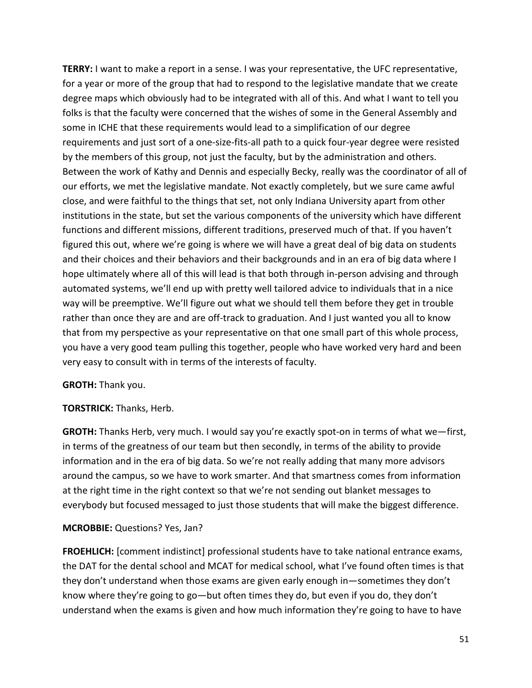**TERRY:** I want to make a report in a sense. I was your representative, the UFC representative, for a year or more of the group that had to respond to the legislative mandate that we create degree maps which obviously had to be integrated with all of this. And what I want to tell you folks is that the faculty were concerned that the wishes of some in the General Assembly and some in ICHE that these requirements would lead to a simplification of our degree requirements and just sort of a one-size-fits-all path to a quick four-year degree were resisted by the members of this group, not just the faculty, but by the administration and others. Between the work of Kathy and Dennis and especially Becky, really was the coordinator of all of our efforts, we met the legislative mandate. Not exactly completely, but we sure came awful close, and were faithful to the things that set, not only Indiana University apart from other institutions in the state, but set the various components of the university which have different functions and different missions, different traditions, preserved much of that. If you haven't figured this out, where we're going is where we will have a great deal of big data on students and their choices and their behaviors and their backgrounds and in an era of big data where I hope ultimately where all of this will lead is that both through in-person advising and through automated systems, we'll end up with pretty well tailored advice to individuals that in a nice way will be preemptive. We'll figure out what we should tell them before they get in trouble rather than once they are and are off-track to graduation. And I just wanted you all to know that from my perspective as your representative on that one small part of this whole process, you have a very good team pulling this together, people who have worked very hard and been very easy to consult with in terms of the interests of faculty.

### **GROTH:** Thank you.

#### **TORSTRICK:** Thanks, Herb.

**GROTH:** Thanks Herb, very much. I would say you're exactly spot-on in terms of what we—first, in terms of the greatness of our team but then secondly, in terms of the ability to provide information and in the era of big data. So we're not really adding that many more advisors around the campus, so we have to work smarter. And that smartness comes from information at the right time in the right context so that we're not sending out blanket messages to everybody but focused messaged to just those students that will make the biggest difference.

### **MCROBBIE:** Questions? Yes, Jan?

**FROEHLICH:** [comment indistinct] professional students have to take national entrance exams, the DAT for the dental school and MCAT for medical school, what I've found often times is that they don't understand when those exams are given early enough in—sometimes they don't know where they're going to go—but often times they do, but even if you do, they don't understand when the exams is given and how much information they're going to have to have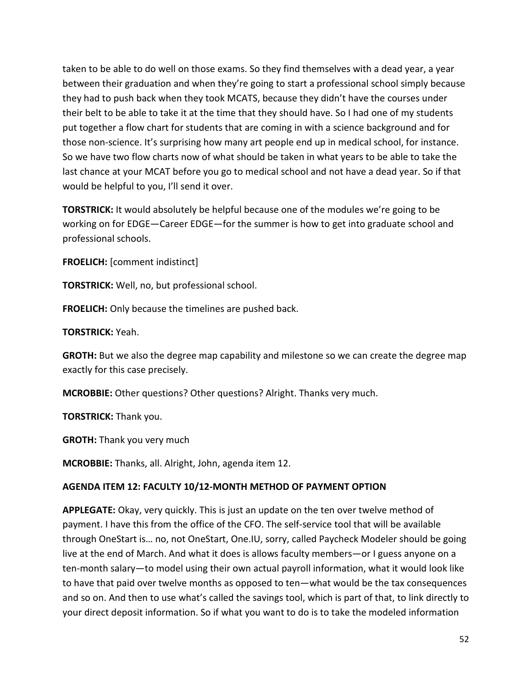taken to be able to do well on those exams. So they find themselves with a dead year, a year between their graduation and when they're going to start a professional school simply because they had to push back when they took MCATS, because they didn't have the courses under their belt to be able to take it at the time that they should have. So I had one of my students put together a flow chart for students that are coming in with a science background and for those non-science. It's surprising how many art people end up in medical school, for instance. So we have two flow charts now of what should be taken in what years to be able to take the last chance at your MCAT before you go to medical school and not have a dead year. So if that would be helpful to you, I'll send it over.

**TORSTRICK:** It would absolutely be helpful because one of the modules we're going to be working on for EDGE—Career EDGE—for the summer is how to get into graduate school and professional schools.

**FROELICH:** [comment indistinct]

**TORSTRICK:** Well, no, but professional school.

**FROELICH:** Only because the timelines are pushed back.

**TORSTRICK:** Yeah.

**GROTH:** But we also the degree map capability and milestone so we can create the degree map exactly for this case precisely.

**MCROBBIE:** Other questions? Other questions? Alright. Thanks very much.

**TORSTRICK:** Thank you.

**GROTH:** Thank you very much

**MCROBBIE:** Thanks, all. Alright, John, agenda item 12.

### **AGENDA ITEM 12: FACULTY 10/12-MONTH METHOD OF PAYMENT OPTION**

**APPLEGATE:** Okay, very quickly. This is just an update on the ten over twelve method of payment. I have this from the office of the CFO. The self-service tool that will be available through OneStart is… no, not OneStart, One.IU, sorry, called Paycheck Modeler should be going live at the end of March. And what it does is allows faculty members—or I guess anyone on a ten-month salary—to model using their own actual payroll information, what it would look like to have that paid over twelve months as opposed to ten—what would be the tax consequences and so on. And then to use what's called the savings tool, which is part of that, to link directly to your direct deposit information. So if what you want to do is to take the modeled information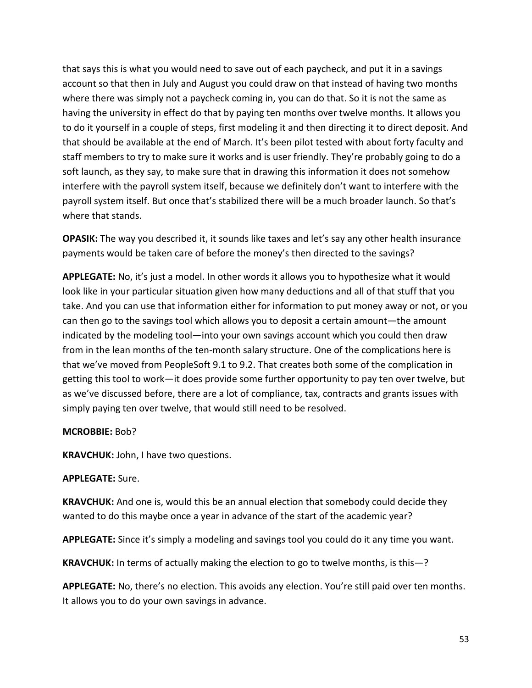that says this is what you would need to save out of each paycheck, and put it in a savings account so that then in July and August you could draw on that instead of having two months where there was simply not a paycheck coming in, you can do that. So it is not the same as having the university in effect do that by paying ten months over twelve months. It allows you to do it yourself in a couple of steps, first modeling it and then directing it to direct deposit. And that should be available at the end of March. It's been pilot tested with about forty faculty and staff members to try to make sure it works and is user friendly. They're probably going to do a soft launch, as they say, to make sure that in drawing this information it does not somehow interfere with the payroll system itself, because we definitely don't want to interfere with the payroll system itself. But once that's stabilized there will be a much broader launch. So that's where that stands.

**OPASIK:** The way you described it, it sounds like taxes and let's say any other health insurance payments would be taken care of before the money's then directed to the savings?

**APPLEGATE:** No, it's just a model. In other words it allows you to hypothesize what it would look like in your particular situation given how many deductions and all of that stuff that you take. And you can use that information either for information to put money away or not, or you can then go to the savings tool which allows you to deposit a certain amount—the amount indicated by the modeling tool—into your own savings account which you could then draw from in the lean months of the ten-month salary structure. One of the complications here is that we've moved from PeopleSoft 9.1 to 9.2. That creates both some of the complication in getting this tool to work—it does provide some further opportunity to pay ten over twelve, but as we've discussed before, there are a lot of compliance, tax, contracts and grants issues with simply paying ten over twelve, that would still need to be resolved.

### **MCROBBIE:** Bob?

**KRAVCHUK:** John, I have two questions.

### **APPLEGATE:** Sure.

**KRAVCHUK:** And one is, would this be an annual election that somebody could decide they wanted to do this maybe once a year in advance of the start of the academic year?

**APPLEGATE:** Since it's simply a modeling and savings tool you could do it any time you want.

**KRAVCHUK:** In terms of actually making the election to go to twelve months, is this—?

**APPLEGATE:** No, there's no election. This avoids any election. You're still paid over ten months. It allows you to do your own savings in advance.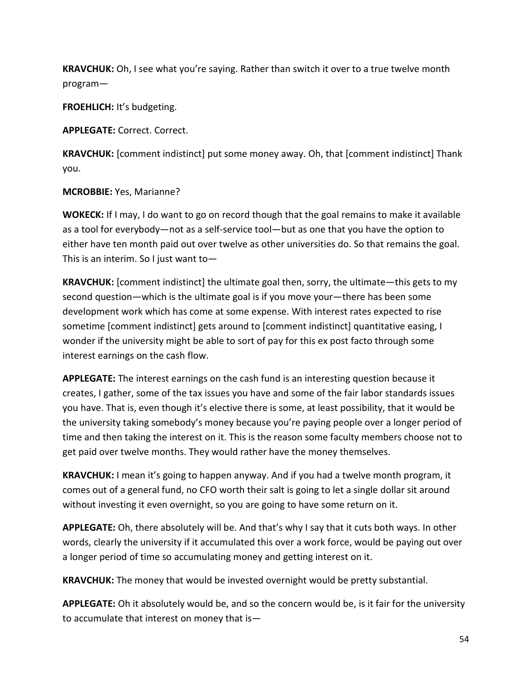**KRAVCHUK:** Oh, I see what you're saying. Rather than switch it over to a true twelve month program—

**FROEHLICH:** It's budgeting.

**APPLEGATE:** Correct. Correct.

**KRAVCHUK:** [comment indistinct] put some money away. Oh, that [comment indistinct] Thank you.

### **MCROBBIE:** Yes, Marianne?

**WOKECK:** If I may, I do want to go on record though that the goal remains to make it available as a tool for everybody—not as a self-service tool—but as one that you have the option to either have ten month paid out over twelve as other universities do. So that remains the goal. This is an interim. So I just want to—

**KRAVCHUK:** [comment indistinct] the ultimate goal then, sorry, the ultimate—this gets to my second question—which is the ultimate goal is if you move your—there has been some development work which has come at some expense. With interest rates expected to rise sometime [comment indistinct] gets around to [comment indistinct] quantitative easing, I wonder if the university might be able to sort of pay for this ex post facto through some interest earnings on the cash flow.

**APPLEGATE:** The interest earnings on the cash fund is an interesting question because it creates, I gather, some of the tax issues you have and some of the fair labor standards issues you have. That is, even though it's elective there is some, at least possibility, that it would be the university taking somebody's money because you're paying people over a longer period of time and then taking the interest on it. This is the reason some faculty members choose not to get paid over twelve months. They would rather have the money themselves.

**KRAVCHUK:** I mean it's going to happen anyway. And if you had a twelve month program, it comes out of a general fund, no CFO worth their salt is going to let a single dollar sit around without investing it even overnight, so you are going to have some return on it.

**APPLEGATE:** Oh, there absolutely will be. And that's why I say that it cuts both ways. In other words, clearly the university if it accumulated this over a work force, would be paying out over a longer period of time so accumulating money and getting interest on it.

**KRAVCHUK:** The money that would be invested overnight would be pretty substantial.

**APPLEGATE:** Oh it absolutely would be, and so the concern would be, is it fair for the university to accumulate that interest on money that is